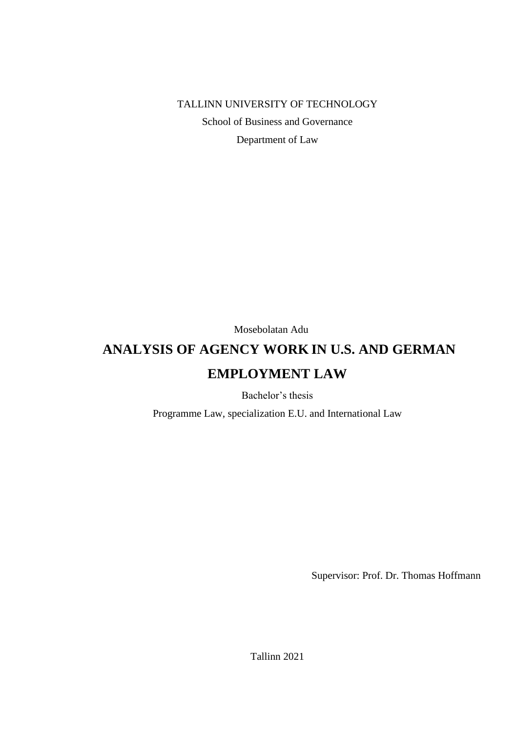TALLINN UNIVERSITY OF TECHNOLOGY

School of Business and Governance

Department of Law

Mosebolatan Adu

# **ANALYSIS OF AGENCY WORK IN U.S. AND GERMAN EMPLOYMENT LAW**

Bachelor's thesis

Programme Law, specialization E.U. and International Law

Supervisor: Prof. Dr. Thomas Hoffmann

Tallinn 2021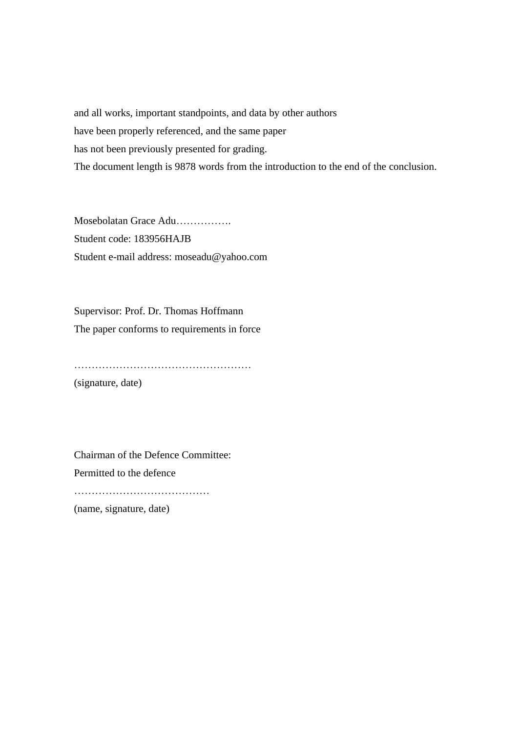and all works, important standpoints, and data by other authors have been properly referenced, and the same paper has not been previously presented for grading. The document length is 9878 words from the introduction to the end of the conclusion.

Mosebolatan Grace Adu……………. Student code: 183956HAJB Student e-mail address: moseadu@yahoo.com

Supervisor: Prof. Dr. Thomas Hoffmann The paper conforms to requirements in force

……………………………………………

(signature, date)

Chairman of the Defence Committee: Permitted to the defence …………………………………

(name, signature, date)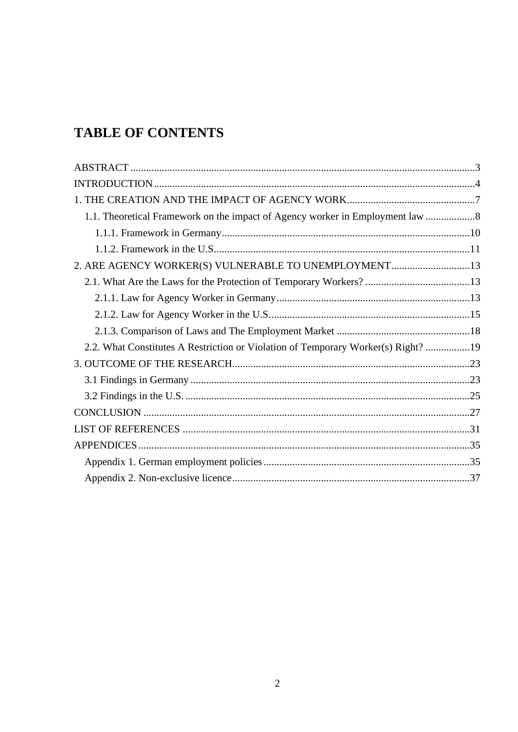# **TABLE OF CONTENTS**

| 1.1. Theoretical Framework on the impact of Agency worker in Employment law       |  |
|-----------------------------------------------------------------------------------|--|
|                                                                                   |  |
|                                                                                   |  |
| 2. ARE AGENCY WORKER(S) VULNERABLE TO UNEMPLOYMENT13                              |  |
|                                                                                   |  |
|                                                                                   |  |
|                                                                                   |  |
|                                                                                   |  |
| 2.2. What Constitutes A Restriction or Violation of Temporary Worker(s) Right? 19 |  |
|                                                                                   |  |
|                                                                                   |  |
|                                                                                   |  |
|                                                                                   |  |
|                                                                                   |  |
|                                                                                   |  |
|                                                                                   |  |
|                                                                                   |  |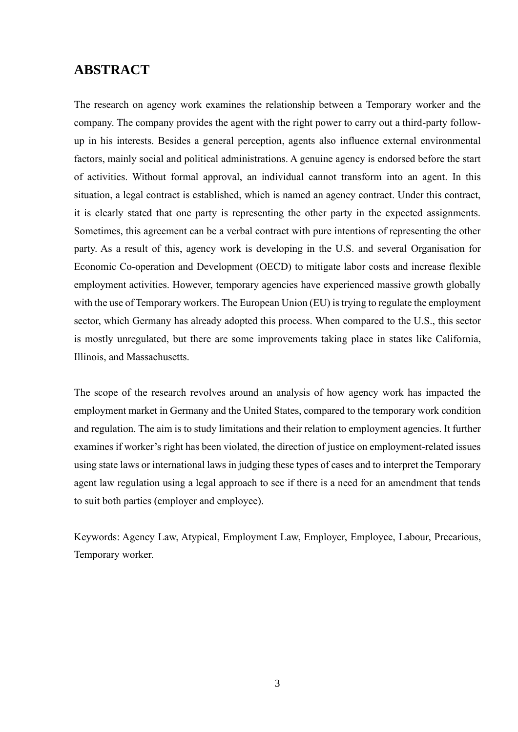## <span id="page-3-0"></span>**ABSTRACT**

The research on agency work examines the relationship between a Temporary worker and the company. The company provides the agent with the right power to carry out a third-party followup in his interests. Besides a general perception, agents also influence external environmental factors, mainly social and political administrations. A genuine agency is endorsed before the start of activities. Without formal approval, an individual cannot transform into an agent. In this situation, a legal contract is established, which is named an agency contract. Under this contract, it is clearly stated that one party is representing the other party in the expected assignments. Sometimes, this agreement can be a verbal contract with pure intentions of representing the other party. As a result of this, agency work is developing in the U.S. and several Organisation for Economic Co-operation and Development (OECD) to mitigate labor costs and increase flexible employment activities. However, temporary agencies have experienced massive growth globally with the use of Temporary workers. The European Union (EU) is trying to regulate the employment sector, which Germany has already adopted this process. When compared to the U.S., this sector is mostly unregulated, but there are some improvements taking place in states like California, Illinois, and Massachusetts.

The scope of the research revolves around an analysis of how agency work has impacted the employment market in Germany and the United States, compared to the temporary work condition and regulation. The aim is to study limitations and their relation to employment agencies. It further examines if worker's right has been violated, the direction of justice on employment-related issues using state laws or international laws in judging these types of cases and to interpret the Temporary agent law regulation using a legal approach to see if there is a need for an amendment that tends to suit both parties (employer and employee).

Keywords: Agency Law, Atypical, Employment Law, Employer, Employee, Labour, Precarious, Temporary worker.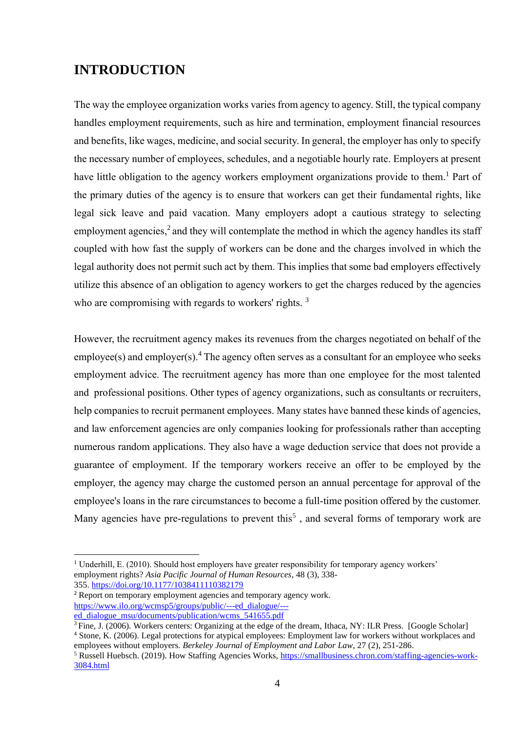## <span id="page-4-0"></span>**INTRODUCTION**

The way the employee organization works varies from agency to agency. Still, the typical company handles employment requirements, such as hire and termination, employment financial resources and benefits, like wages, medicine, and social security. In general, the employer has only to specify the necessary number of employees, schedules, and a negotiable hourly rate. Employers at present have little obligation to the agency workers employment organizations provide to them.<sup>1</sup> Part of the primary duties of the agency is to ensure that workers can get their fundamental rights, like legal sick leave and paid vacation. Many employers adopt a cautious strategy to selecting employment agencies,<sup>2</sup> and they will contemplate the method in which the agency handles its staff coupled with how fast the supply of workers can be done and the charges involved in which the legal authority does not permit such act by them. This implies that some bad employers effectively utilize this absence of an obligation to agency workers to get the charges reduced by the agencies who are compromising with regards to workers' rights.<sup>3</sup>

However, the recruitment agency makes its revenues from the charges negotiated on behalf of the employee(s) and employer(s). <sup>4</sup> The agency often serves as a consultant for an employee who seeks employment advice. The recruitment agency has more than one employee for the most talented and professional positions. Other types of agency organizations, such as consultants or recruiters, help companies to recruit permanent employees. Many states have banned these kinds of agencies, and law enforcement agencies are only companies looking for professionals rather than accepting numerous random applications. They also have a wage deduction service that does not provide a guarantee of employment. If the temporary workers receive an offer to be employed by the employer, the agency may charge the customed person an annual percentage for approval of the employee's loans in the rare circumstances to become a full-time position offered by the customer. Many agencies have pre-regulations to prevent this<sup>5</sup>, and several forms of temporary work are

355. <https://doi.org/10.1177/1038411110382179>

<sup>2</sup> Report on temporary employment agencies and temporary agency work. https://www.ilo.org/wcmsp5/groups/public/---ed\_dialogue/-- ed\_dialogue\_msu/documents/publication/wcms\_541655.pdf

<sup>3</sup> Fine, J. (2006). Workers centers: Organizing at the edge of the dream, Ithaca, NY: ILR Press. [\[Google Scholar\]](http://scholar.google.com/scholar_lookup?hl=en&publication_year=2006&author=J.+Fine&title=+Workers+centers%3A+Organizing+at+the+edge+of+the+dream+)

<sup>4</sup> Stone, K. (2006). Legal protections for atypical employees: Employment law for workers without workplaces and employees without employers. *Berkeley Journal of Employment and Labor Law*, 27 (2), 251-286.

<sup>&</sup>lt;sup>1</sup> Underhill, E. (2010). Should host employers have greater responsibility for temporary agency workers' employment rights? *Asia Pacific Journal of Human Resources*, 48 (3), 338-

 $<sup>5</sup>$  Russell Huebsch. (2019). How Staffing Agencies Works, https://smallbusiness.chron.com/staffing-agencies-work-</sup> 3084.html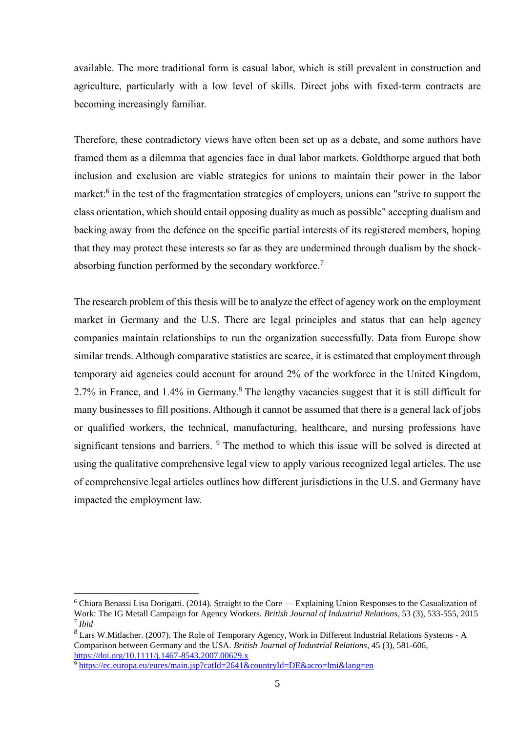available. The more traditional form is casual labor, which is still prevalent in construction and agriculture, particularly with a low level of skills. Direct jobs with fixed-term contracts are becoming increasingly familiar.

Therefore, these contradictory views have often been set up as a debate, and some authors have framed them as a dilemma that agencies face in dual labor markets. Goldthorpe argued that both inclusion and exclusion are viable strategies for unions to maintain their power in the labor market:<sup>6</sup> in the test of the fragmentation strategies of employers, unions can "strive to support the class orientation, which should entail opposing duality as much as possible" accepting dualism and backing away from the defence on the specific partial interests of its registered members, hoping that they may protect these interests so far as they are undermined through dualism by the shockabsorbing function performed by the secondary workforce.<sup>7</sup>

The research problem of this thesis will be to analyze the effect of agency work on the employment market in Germany and the U.S. There are legal principles and status that can help agency companies maintain relationships to run the organization successfully. Data from Europe show similar trends. Although comparative statistics are scarce, it is estimated that employment through temporary aid agencies could account for around 2% of the workforce in the United Kingdom, 2.7% in France, and 1.4% in Germany.<sup>8</sup> The lengthy vacancies suggest that it is still difficult for many businesses to fill positions. Although it cannot be assumed that there is a general lack of jobs or qualified workers, the technical, manufacturing, healthcare, and nursing professions have significant tensions and barriers. <sup>9</sup> The method to which this issue will be solved is directed at using the qualitative comprehensive legal view to apply various recognized legal articles. The use of comprehensive legal articles outlines how different jurisdictions in the U.S. and Germany have impacted the employment law.

<sup>6</sup> Chiara Benassi Lisa Dorigatti. (2014). Straight to the Core — Explaining Union Responses to the Casualization of Work: The IG Metall Campaign for Agency Workers. *[British Journal of Industrial Relations](https://papers.ssrn.com/sol3/papers.cfm?abstract_id=2649477)*, 53 (3), 533-555, 2015 7 *Ibid*

<sup>8</sup> Lars W.Mitlacher. (2007). The Role of Temporary Agency, Work in Different Industrial Relations Systems - A Comparison between Germany and the USA. *British Journal of Industrial Relations*, 45 (3), 581-606, https://doi.org/10.1111/j.1467-8543.2007.00629.x

<sup>9</sup> <https://ec.europa.eu/eures/main.jsp?catId=2641&countryId=DE&acro=lmi&lang=en>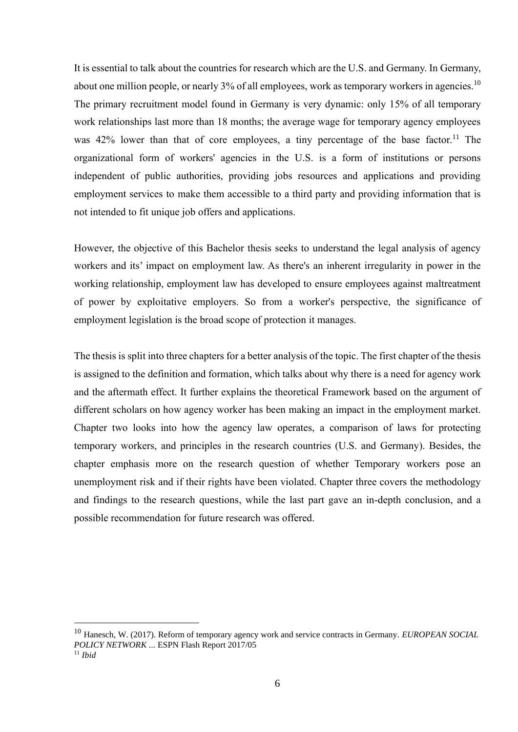It is essential to talk about the countries for research which are the U.S. and Germany. In Germany, about one million people, or nearly 3% of all employees, work as temporary workers in agencies.<sup>10</sup> The primary recruitment model found in Germany is very dynamic: only 15% of all temporary work relationships last more than 18 months; the average wage for temporary agency employees was 42% lower than that of core employees, a tiny percentage of the base factor.<sup>11</sup> The organizational form of workers' agencies in the U.S. is a form of institutions or persons independent of public authorities, providing jobs resources and applications and providing employment services to make them accessible to a third party and providing information that is not intended to fit unique job offers and applications.

However, the objective of this Bachelor thesis seeks to understand the legal analysis of agency workers and its' impact on employment law. As there's an inherent irregularity in power in the working relationship, employment law has developed to ensure employees against maltreatment of power by exploitative employers. So from a worker's perspective, the significance of employment legislation is the broad scope of protection it manages.

The thesis is split into three chapters for a better analysis of the topic. The first chapter of the thesis is assigned to the definition and formation, which talks about why there is a need for agency work and the aftermath effect. It further explains the theoretical Framework based on the argument of different scholars on how agency worker has been making an impact in the employment market. Chapter two looks into how the agency law operates, a comparison of laws for protecting temporary workers, and principles in the research countries (U.S. and Germany). Besides, the chapter emphasis more on the research question of whether Temporary workers pose an unemployment risk and if their rights have been violated. Chapter three covers the methodology and findings to the research questions, while the last part gave an in-depth conclusion, and a possible recommendation for future research was offered.

<sup>10</sup> Hanesch, W. (2017). Reform of temporary agency work and service contracts in Germany. *EUROPEAN SOCIAL POLICY NETWORK .*.. ESPN Flash Report 2017/05 <sup>11</sup> *Ibid*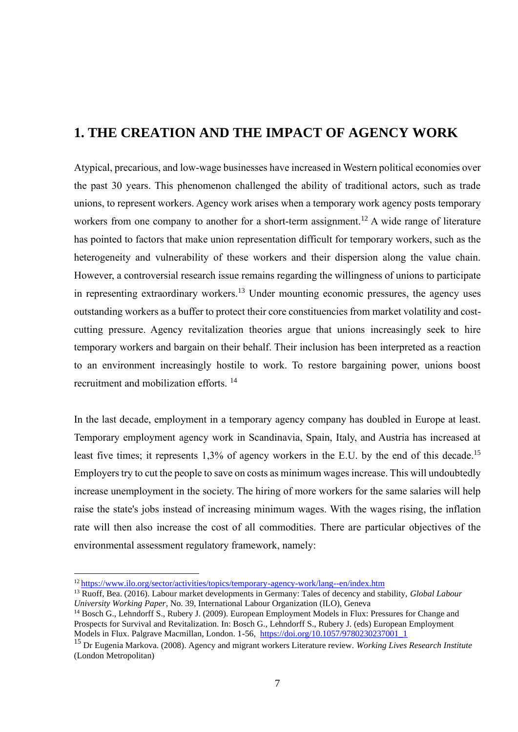## <span id="page-7-0"></span>**1. THE CREATION AND THE IMPACT OF AGENCY WORK**

Atypical, precarious, and low-wage businesses have increased in Western political economies over the past 30 years. This phenomenon challenged the ability of traditional actors, such as trade unions, to represent workers. Agency work arises when a temporary work agency posts temporary workers from one company to another for a short-term assignment.<sup>12</sup> A wide range of literature has pointed to factors that make union representation difficult for temporary workers, such as the heterogeneity and vulnerability of these workers and their dispersion along the value chain. However, a controversial research issue remains regarding the willingness of unions to participate in representing extraordinary workers.<sup>13</sup> Under mounting economic pressures, the agency uses outstanding workers as a buffer to protect their core constituencies from market volatility and costcutting pressure. Agency revitalization theories argue that unions increasingly seek to hire temporary workers and bargain on their behalf. Their inclusion has been interpreted as a reaction to an environment increasingly hostile to work. To restore bargaining power, unions boost recruitment and mobilization efforts. <sup>14</sup>

In the last decade, employment in a temporary agency company has doubled in Europe at least. Temporary employment agency work in Scandinavia, Spain, Italy, and Austria has increased at least five times; it represents 1,3% of agency workers in the E.U. by the end of this decade.<sup>15</sup> Employers try to cut the people to save on costs as minimum wages increase. This will undoubtedly increase unemployment in the society. The hiring of more workers for the same salaries will help raise the state's jobs instead of increasing minimum wages. With the wages rising, the inflation rate will then also increase the cost of all commodities. There are particular objectives of the environmental assessment regulatory framework, namely:

<sup>12</sup> https://www.ilo.org/sector/activities/topics/temporary-agency-work/lang--en/index.htm

<sup>13</sup> Ruoff, Bea. (2016). Labour market developments in Germany: Tales of decency and stability, *Global Labour University Working Paper*, No. 39, International Labour Organization (ILO), Geneva

<sup>&</sup>lt;sup>14</sup> Bosch G., Lehndorff S., Rubery J. (2009). European Employment Models in Flux: Pressures for Change and Prospects for Survival and Revitalization. In: Bosch G., Lehndorff S., Rubery J. (eds) European Employment Models in Flux. Palgrave Macmillan, London. 1-56, [https://doi.org/10.1057/9780230237001\\_1](https://doi.org/10.1057/9780230237001_1)

<sup>15</sup> Dr Eugenia Markova. (2008). Agency and migrant workers Literature review. *Working Lives Research Institute* (London Metropolitan)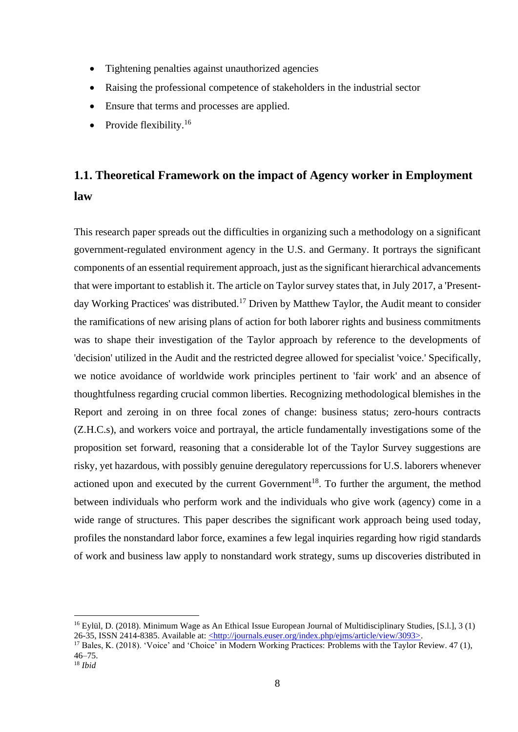- Tightening penalties against unauthorized agencies
- Raising the professional competence of stakeholders in the industrial sector
- Ensure that terms and processes are applied.
- Provide flexibility.<sup>16</sup>

## <span id="page-8-0"></span>**1.1. Theoretical Framework on the impact of Agency worker in Employment law**

This research paper spreads out the difficulties in organizing such a methodology on a significant government-regulated environment agency in the U.S. and Germany. It portrays the significant components of an essential requirement approach, just as the significant hierarchical advancements that were important to establish it. The article on Taylor survey states that, in July 2017, a 'Presentday Working Practices' was distributed.<sup>17</sup> Driven by Matthew Taylor, the Audit meant to consider the ramifications of new arising plans of action for both laborer rights and business commitments was to shape their investigation of the Taylor approach by reference to the developments of 'decision' utilized in the Audit and the restricted degree allowed for specialist 'voice.' Specifically, we notice avoidance of worldwide work principles pertinent to 'fair work' and an absence of thoughtfulness regarding crucial common liberties. Recognizing methodological blemishes in the Report and zeroing in on three focal zones of change: business status; zero-hours contracts (Z.H.C.s), and workers voice and portrayal, the article fundamentally investigations some of the proposition set forward, reasoning that a considerable lot of the Taylor Survey suggestions are risky, yet hazardous, with possibly genuine deregulatory repercussions for U.S. laborers whenever actioned upon and executed by the current Government<sup>18</sup>. To further the argument, the method between individuals who perform work and the individuals who give work (agency) come in a wide range of structures. This paper describes the significant work approach being used today, profiles the nonstandard labor force, examines a few legal inquiries regarding how rigid standards of work and business law apply to nonstandard work strategy, sums up discoveries distributed in

<sup>&</sup>lt;sup>16</sup> Eylül, D. (2018). Minimum Wage as An Ethical Issue European Journal of Multidisciplinary Studies, [S.l.], 3 (1) 26-35, ISSN 2414-8385. Available at: <http://journals.euser.org/index.php/ejms/article/view/3093>.

<sup>&</sup>lt;sup>17</sup> Bales, K. (2018). 'Voice' and 'Choice' in Modern Working Practices: Problems with the Taylor Review. 47 (1), 46–75.

<sup>18</sup> *Ibid*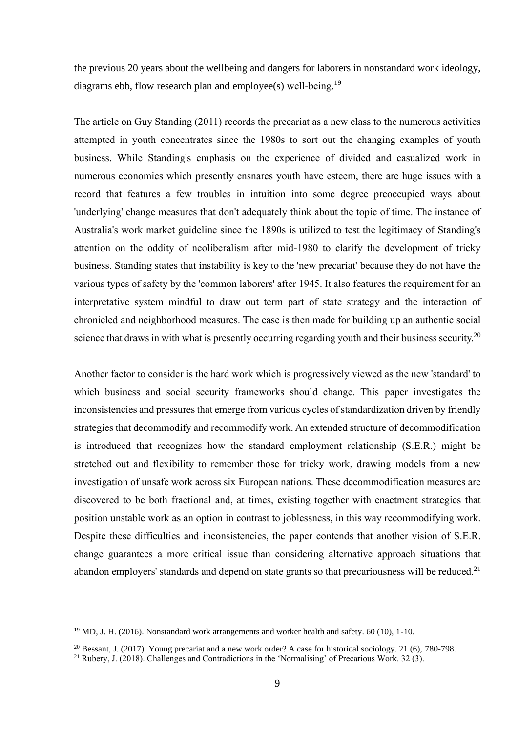the previous 20 years about the wellbeing and dangers for laborers in nonstandard work ideology, diagrams ebb, flow research plan and employee(s) well-being.<sup>19</sup>

The article on Guy Standing (2011) records the precariat as a new class to the numerous activities attempted in youth concentrates since the 1980s to sort out the changing examples of youth business. While Standing's emphasis on the experience of divided and casualized work in numerous economies which presently ensnares youth have esteem, there are huge issues with a record that features a few troubles in intuition into some degree preoccupied ways about 'underlying' change measures that don't adequately think about the topic of time. The instance of Australia's work market guideline since the 1890s is utilized to test the legitimacy of Standing's attention on the oddity of neoliberalism after mid-1980 to clarify the development of tricky business. Standing states that instability is key to the 'new precariat' because they do not have the various types of safety by the 'common laborers' after 1945. It also features the requirement for an interpretative system mindful to draw out term part of state strategy and the interaction of chronicled and neighborhood measures. The case is then made for building up an authentic social science that draws in with what is presently occurring regarding youth and their business security.<sup>20</sup>

Another factor to consider is the hard work which is progressively viewed as the new 'standard' to which business and social security frameworks should change. This paper investigates the inconsistencies and pressures that emerge from various cycles of standardization driven by friendly strategies that decommodify and recommodify work. An extended structure of decommodification is introduced that recognizes how the standard employment relationship (S.E.R.) might be stretched out and flexibility to remember those for tricky work, drawing models from a new investigation of unsafe work across six European nations. These decommodification measures are discovered to be both fractional and, at times, existing together with enactment strategies that position unstable work as an option in contrast to joblessness, in this way recommodifying work. Despite these difficulties and inconsistencies, the paper contends that another vision of S.E.R. change guarantees a more critical issue than considering alternative approach situations that abandon employers' standards and depend on state grants so that precariousness will be reduced.<sup>21</sup>

<sup>&</sup>lt;sup>19</sup> MD, J. H. (2016). Nonstandard work arrangements and worker health and safety. 60 (10), 1-10.

<sup>&</sup>lt;sup>20</sup> Bessant, J. (2017). Young precariat and a new work order? A case for historical sociology. 21 (6), 780-798.

<sup>&</sup>lt;sup>21</sup> Rubery, J. (2018). Challenges and Contradictions in the 'Normalising' of Precarious Work. 32 (3).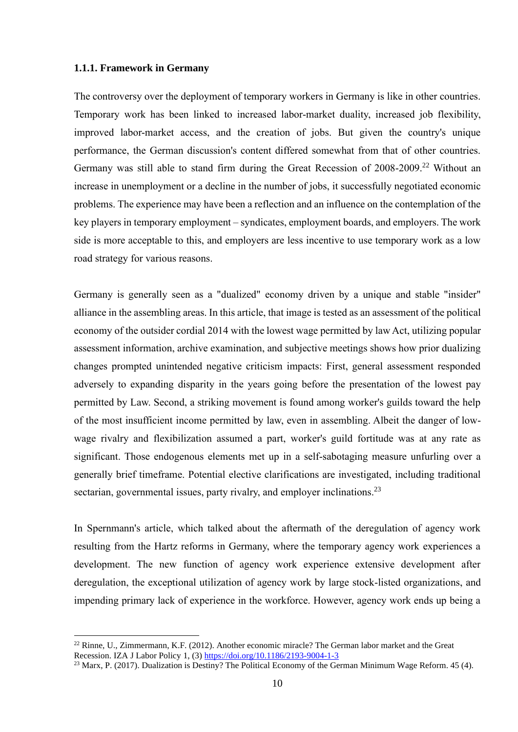#### <span id="page-10-0"></span>**1.1.1. Framework in Germany**

The controversy over the deployment of temporary workers in Germany is like in other countries. Temporary work has been linked to increased labor-market duality, increased job flexibility, improved labor-market access, and the creation of jobs. But given the country's unique performance, the German discussion's content differed somewhat from that of other countries. Germany was still able to stand firm during the Great Recession of 2008-2009.<sup>22</sup> Without an increase in unemployment or a decline in the number of jobs, it successfully negotiated economic problems. The experience may have been a reflection and an influence on the contemplation of the key players in temporary employment – syndicates, employment boards, and employers. The work side is more acceptable to this, and employers are less incentive to use temporary work as a low road strategy for various reasons.

Germany is generally seen as a "dualized" economy driven by a unique and stable "insider" alliance in the assembling areas. In this article, that image is tested as an assessment of the political economy of the outsider cordial 2014 with the lowest wage permitted by law Act, utilizing popular assessment information, archive examination, and subjective meetings shows how prior dualizing changes prompted unintended negative criticism impacts: First, general assessment responded adversely to expanding disparity in the years going before the presentation of the lowest pay permitted by Law. Second, a striking movement is found among worker's guilds toward the help of the most insufficient income permitted by law, even in assembling. Albeit the danger of lowwage rivalry and flexibilization assumed a part, worker's guild fortitude was at any rate as significant. Those endogenous elements met up in a self-sabotaging measure unfurling over a generally brief timeframe. Potential elective clarifications are investigated, including traditional sectarian, governmental issues, party rivalry, and employer inclinations.<sup>23</sup>

In Spernmann's article, which talked about the aftermath of the deregulation of agency work resulting from the Hartz reforms in Germany, where the temporary agency work experiences a development. The new function of agency work experience extensive development after deregulation, the exceptional utilization of agency work by large stock-listed organizations, and impending primary lack of experience in the workforce. However, agency work ends up being a

 $^{22}$  Rinne, U., Zimmermann, K.F. (2012). Another economic miracle? The German labor market and the Great Recession. IZA J Labor Policy 1, (3[\) https://doi.org/10.1186/2193-9004-1-3](https://doi.org/10.1186/2193-9004-1-3)

<sup>&</sup>lt;sup>23</sup> Marx, P. (2017). Dualization is Destiny? The Political Economy of the German Minimum Wage Reform. 45 (4).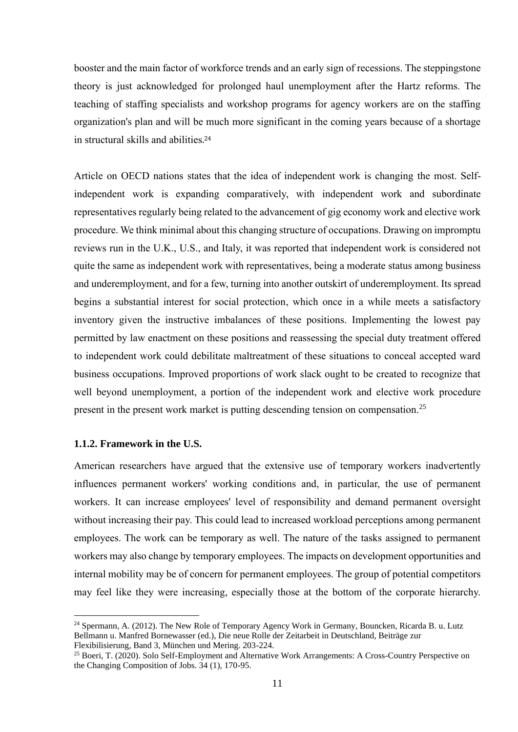booster and the main factor of workforce trends and an early sign of recessions. The steppingstone theory is just acknowledged for prolonged haul unemployment after the Hartz reforms. The teaching of staffing specialists and workshop programs for agency workers are on the staffing organization's plan and will be much more significant in the coming years because of a shortage in structural skills and abilities. 24

Article on OECD nations states that the idea of independent work is changing the most. Selfindependent work is expanding comparatively, with independent work and subordinate representatives regularly being related to the advancement of gig economy work and elective work procedure. We think minimal about this changing structure of occupations. Drawing on impromptu reviews run in the U.K., U.S., and Italy, it was reported that independent work is considered not quite the same as independent work with representatives, being a moderate status among business and underemployment, and for a few, turning into another outskirt of underemployment. Its spread begins a substantial interest for social protection, which once in a while meets a satisfactory inventory given the instructive imbalances of these positions. Implementing the lowest pay permitted by law enactment on these positions and reassessing the special duty treatment offered to independent work could debilitate maltreatment of these situations to conceal accepted ward business occupations. Improved proportions of work slack ought to be created to recognize that well beyond unemployment, a portion of the independent work and elective work procedure present in the present work market is putting descending tension on compensation.<sup>25</sup>

#### <span id="page-11-0"></span>**1.1.2. Framework in the U.S.**

American researchers have argued that the extensive use of temporary workers inadvertently influences permanent workers' working conditions and, in particular, the use of permanent workers. It can increase employees' level of responsibility and demand permanent oversight without increasing their pay. This could lead to increased workload perceptions among permanent employees. The work can be temporary as well. The nature of the tasks assigned to permanent workers may also change by temporary employees. The impacts on development opportunities and internal mobility may be of concern for permanent employees. The group of potential competitors may feel like they were increasing, especially those at the bottom of the corporate hierarchy.

<sup>&</sup>lt;sup>24</sup> [Spermann,](http://www.vwl.uni-freiburg.de/iwipol/team.htm) A. (2012). The New Role of Temporary Agency Work in Germany, Bouncken, Ricarda B. u. Lutz Bellmann u. Manfred Bornewasser (ed.), Die neue Rolle der Zeitarbeit in Deutschland, Beiträge zur Flexibilisierung, Band 3, München und Mering. 203-224.

<sup>&</sup>lt;sup>25</sup> Boeri, T. (2020). Solo Self-Employment and Alternative Work Arrangements: A Cross-Country Perspective on the Changing Composition of Jobs. 34 (1), 170-95.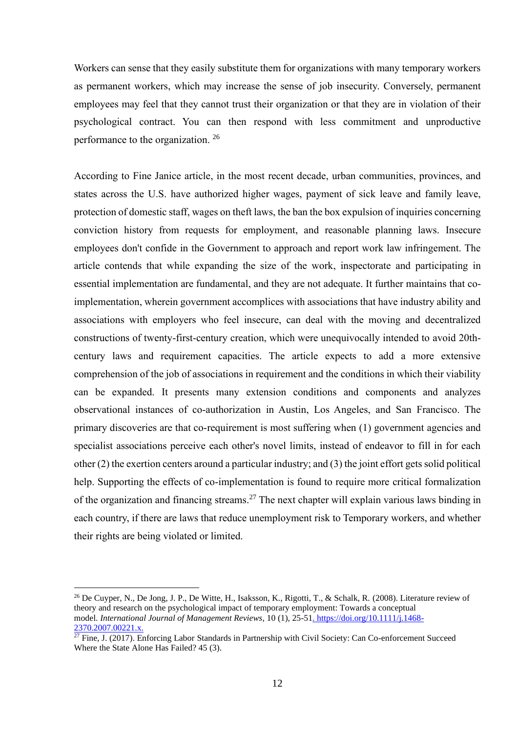Workers can sense that they easily substitute them for organizations with many temporary workers as permanent workers, which may increase the sense of job insecurity. Conversely, permanent employees may feel that they cannot trust their organization or that they are in violation of their psychological contract. You can then respond with less commitment and unproductive performance to the organization.<sup>26</sup>

According to Fine Janice article, in the most recent decade, urban communities, provinces, and states across the U.S. have authorized higher wages, payment of sick leave and family leave, protection of domestic staff, wages on theft laws, the ban the box expulsion of inquiries concerning conviction history from requests for employment, and reasonable planning laws. Insecure employees don't confide in the Government to approach and report work law infringement. The article contends that while expanding the size of the work, inspectorate and participating in essential implementation are fundamental, and they are not adequate. It further maintains that coimplementation, wherein government accomplices with associations that have industry ability and associations with employers who feel insecure, can deal with the moving and decentralized constructions of twenty-first-century creation, which were unequivocally intended to avoid 20thcentury laws and requirement capacities. The article expects to add a more extensive comprehension of the job of associations in requirement and the conditions in which their viability can be expanded. It presents many extension conditions and components and analyzes observational instances of co-authorization in Austin, Los Angeles, and San Francisco. The primary discoveries are that co-requirement is most suffering when (1) government agencies and specialist associations perceive each other's novel limits, instead of endeavor to fill in for each other (2) the exertion centers around a particular industry; and (3) the joint effort gets solid political help. Supporting the effects of co-implementation is found to require more critical formalization of the organization and financing streams.<sup>27</sup> The next chapter will explain various laws binding in each country, if there are laws that reduce unemployment risk to Temporary workers, and whether their rights are being violated or limited.

 $^{26}$  De Cuyper, N., De Jong, J. P., De Witte, H., Isaksson, K., Rigotti, T., & Schalk, R. (2008). Literature review of theory and research on the psychological impact of temporary employment: Towards a conceptual model. *International Journal of Management Reviews*, 10 (1), 25-51. https://doi.org/10.1111/j.1468- 2370.2007.00221.x.

 $\frac{277626076622131}{27}$  Fine, J. (2017). Enforcing Labor Standards in Partnership with Civil Society: Can Co-enforcement Succeed Where the State Alone Has Failed? 45 (3).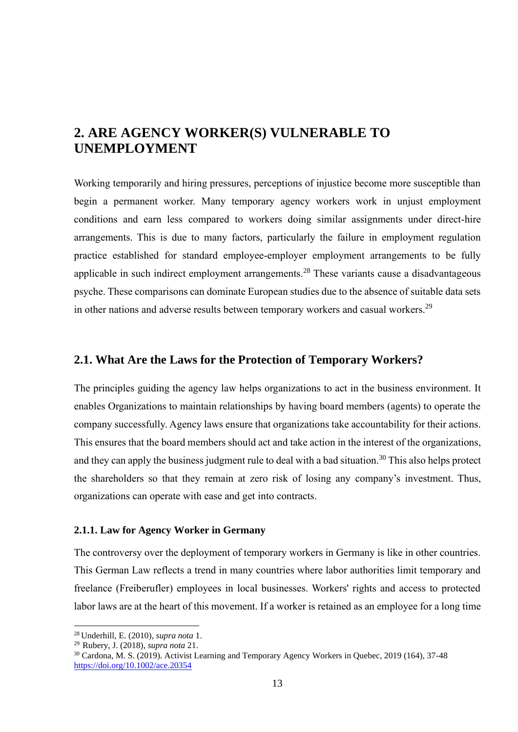## <span id="page-13-0"></span>**2. ARE AGENCY WORKER(S) VULNERABLE TO UNEMPLOYMENT**

Working temporarily and hiring pressures, perceptions of injustice become more susceptible than begin a permanent worker. Many temporary agency workers work in unjust employment conditions and earn less compared to workers doing similar assignments under direct-hire arrangements. This is due to many factors, particularly the failure in employment regulation practice established for standard employee-employer employment arrangements to be fully applicable in such indirect employment arrangements.<sup>28</sup> These variants cause a disadvantageous psyche. These comparisons can dominate European studies due to the absence of suitable data sets in other nations and adverse results between temporary workers and casual workers.<sup>29</sup>

### <span id="page-13-1"></span>**2.1. What Are the Laws for the Protection of Temporary Workers?**

The principles guiding the agency law helps organizations to act in the business environment. It enables Organizations to maintain relationships by having board members (agents) to operate the company successfully. Agency laws ensure that organizations take accountability for their actions. This ensures that the board members should act and take action in the interest of the organizations, and they can apply the business judgment rule to deal with a bad situation.<sup>30</sup> This also helps protect the shareholders so that they remain at zero risk of losing any company's investment. Thus, organizations can operate with ease and get into contracts.

#### <span id="page-13-2"></span>**2.1.1. Law for Agency Worker in Germany**

The controversy over the deployment of temporary workers in Germany is like in other countries. This German Law reflects a trend in many countries where labor authorities limit temporary and freelance (Freiberufler) employees in local businesses. Workers' rights and access to protected labor laws are at the heart of this movement. If a worker is retained as an employee for a long time

<sup>28</sup> Underhill, E. (2010), *supra nota* 1.

<sup>29</sup>Rubery, J. (2018), *supra nota* 21.

<sup>&</sup>lt;sup>30</sup> Cardona, M. S. (2019). Activist Learning and Temporary Agency Workers in Quebec, 2019 (164), 37-48 https://doi.org/10.1002/ace.20354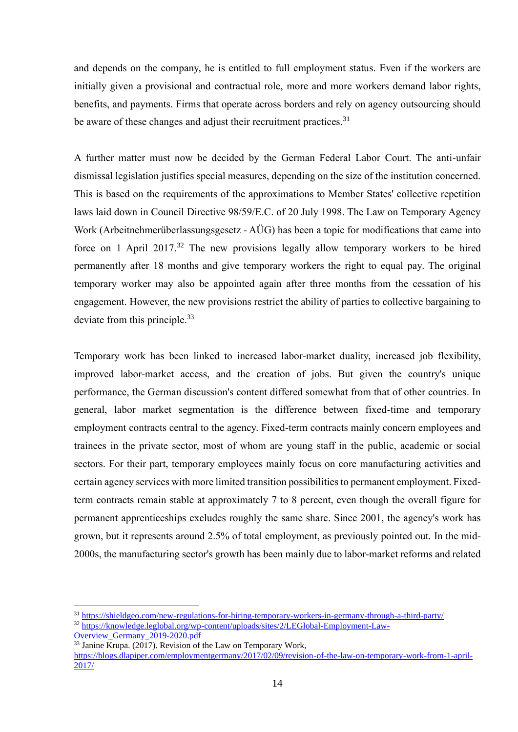and depends on the company, he is entitled to full employment status. Even if the workers are initially given a provisional and contractual role, more and more workers demand labor rights, benefits, and payments. Firms that operate across borders and rely on agency outsourcing should be aware of these changes and adjust their recruitment practices.<sup>31</sup>

A further matter must now be decided by the German Federal Labor Court. The anti-unfair dismissal legislation justifies special measures, depending on the size of the institution concerned. This is based on the requirements of the approximations to Member States' collective repetition laws laid down in Council Directive 98/59/E.C. of 20 July 1998. The Law on Temporary Agency Work (Arbeitnehmerüberlassungsgesetz - AÜG) has been a topic for modifications that came into force on 1 April 2017.<sup>32</sup> The new provisions legally allow temporary workers to be hired permanently after 18 months and give temporary workers the right to equal pay. The original temporary worker may also be appointed again after three months from the cessation of his engagement. However, the new provisions restrict the ability of parties to collective bargaining to deviate from this principle.<sup>33</sup>

Temporary work has been linked to increased labor-market duality, increased job flexibility, improved labor-market access, and the creation of jobs. But given the country's unique performance, the German discussion's content differed somewhat from that of other countries. In general, labor market segmentation is the difference between fixed-time and temporary employment contracts central to the agency. Fixed-term contracts mainly concern employees and trainees in the private sector, most of whom are young staff in the public, academic or social sectors. For their part, temporary employees mainly focus on core manufacturing activities and certain agency services with more limited transition possibilities to permanent employment. Fixedterm contracts remain stable at approximately 7 to 8 percent, even though the overall figure for permanent apprenticeships excludes roughly the same share. Since 2001, the agency's work has grown, but it represents around 2.5% of total employment, as previously pointed out. In the mid-2000s, the manufacturing sector's growth has been mainly due to labor-market reforms and related

<sup>31</sup> <https://shieldgeo.com/new-regulations-for-hiring-temporary-workers-in-germany-through-a-third-party/>

<sup>32</sup> https://knowledge.leglobal.org/wp-content/uploads/sites/2/LEGlobal-Employment-Law-Overview\_Germany\_2019-2020.pdf

 $\frac{33}{33}$  Janine Krupa. (2017). Revision of the Law on Temporary Work,

[https://blogs.dlapiper.com/employmentgermany/2017/02/09/revision-of-the-law-on-temporary-work-from-1-april-](https://blogs.dlapiper.com/employmentgermany/2017/02/09/revision-of-the-law-on-temporary-work-from-1-april-2017/)[2017/](https://blogs.dlapiper.com/employmentgermany/2017/02/09/revision-of-the-law-on-temporary-work-from-1-april-2017/)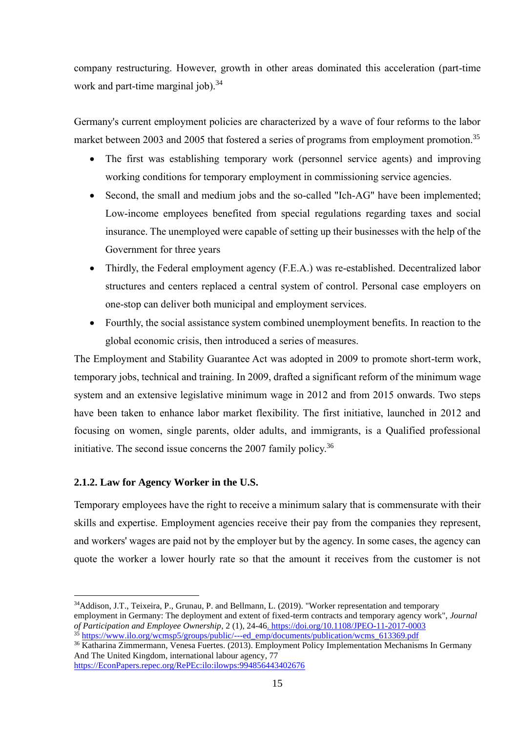company restructuring. However, growth in other areas dominated this acceleration (part-time work and part-time marginal job).<sup>34</sup>

Germany's current employment policies are characterized by a wave of four reforms to the labor market between 2003 and 2005 that fostered a series of programs from employment promotion.<sup>35</sup>

- The first was establishing temporary work (personnel service agents) and improving working conditions for temporary employment in commissioning service agencies.
- Second, the small and medium jobs and the so-called "Ich-AG" have been implemented; Low-income employees benefited from special regulations regarding taxes and social insurance. The unemployed were capable of setting up their businesses with the help of the Government for three years
- Thirdly, the Federal employment agency (F.E.A.) was re-established. Decentralized labor structures and centers replaced a central system of control. Personal case employers on one-stop can deliver both municipal and employment services.
- Fourthly, the social assistance system combined unemployment benefits. In reaction to the global economic crisis, then introduced a series of measures.

The Employment and Stability Guarantee Act was adopted in 2009 to promote short-term work, temporary jobs, technical and training. In 2009, drafted a significant reform of the minimum wage system and an extensive legislative minimum wage in 2012 and from 2015 onwards. Two steps have been taken to enhance labor market flexibility. The first initiative, launched in 2012 and focusing on women, single parents, older adults, and immigrants, is a Qualified professional initiative. The second issue concerns the 2007 family policy.<sup>36</sup>

### <span id="page-15-0"></span>**2.1.2. Law for Agency Worker in the U.S.**

Temporary employees have the right to receive a minimum salary that is commensurate with their skills and expertise. Employment agencies receive their pay from the companies they represent, and workers' wages are paid not by the employer but by the agency. In some cases, the agency can quote the worker a lower hourly rate so that the amount it receives from the customer is not

employment in Germany: The deployment and extent of fixed-term contracts and temporary agency work", *[Journal](https://www.emerald.com/insight/publication/issn/2514-7641)  [of Participation and Employee Ownership,](https://www.emerald.com/insight/publication/issn/2514-7641)* 2 (1), 24-46. <https://doi.org/10.1108/JPEO-11-2017-0003> <sup>35</sup> [https://www.ilo.org/wcmsp5/groups/public/---ed\\_emp/documents/publication/wcms\\_613369.pdf](https://www.ilo.org/wcmsp5/groups/public/---ed_emp/documents/publication/wcms_613369.pdf)

[https://EconPapers.repec.org/RePEc:ilo:ilowps:994856443402676](https://econpapers.repec.org/RePEc:ilo:ilowps:994856443402676)

<sup>34</sup>[Addison, J.T.,](https://www.emerald.com/insight/search?q=John%20T.%20Addison) [Teixeira, P.,](https://www.emerald.com/insight/search?q=Paulino%20Teixeira) [Grunau, P.](https://www.emerald.com/insight/search?q=Philipp%20Grunau) and [Bellmann, L.](https://www.emerald.com/insight/search?q=Lutz%20Bellmann) (2019). "Worker representation and temporary

<sup>36</sup> Katharina Zimmermann, Venesa Fuertes. (2013). Employment Policy Implementation Mechanisms In Germany And The United Kingdom, international labour agency, 77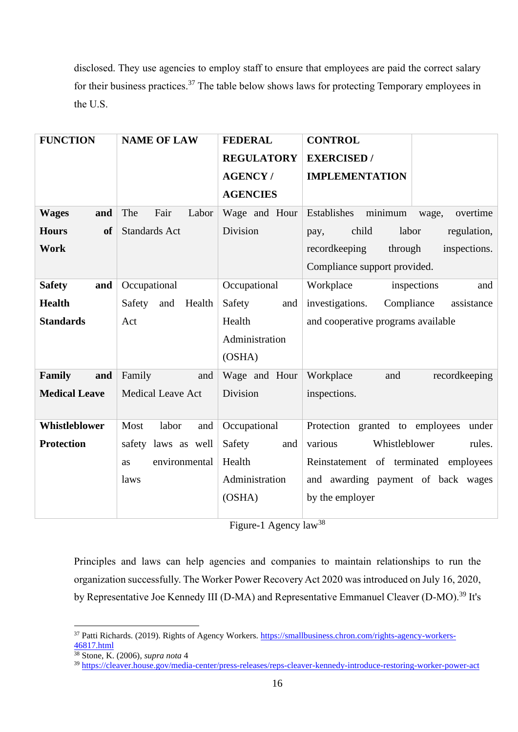disclosed. They use agencies to employ staff to ensure that employees are paid the correct salary for their business practices.<sup>37</sup> The table below shows laws for protecting Temporary employees in the U.S.

| <b>FUNCTION</b>           | <b>NAME OF LAW</b>       | <b>FEDERAL</b>    | <b>CONTROL</b>                              |
|---------------------------|--------------------------|-------------------|---------------------------------------------|
|                           |                          | <b>REGULATORY</b> | <b>EXERCISED</b> /                          |
|                           |                          | <b>AGENCY/</b>    | <b>IMPLEMENTATION</b>                       |
|                           |                          | <b>AGENCIES</b>   |                                             |
| <b>Wages</b><br>and       | Fair<br>The<br>Labor     | Wage and Hour     | minimum<br>Establishes<br>overtime<br>wage, |
| <b>Hours</b><br><b>of</b> | <b>Standards Act</b>     | Division          | labor<br>regulation,<br>child<br>pay,       |
| Work                      |                          |                   | inspections.<br>recordkeeping<br>through    |
|                           |                          |                   | Compliance support provided.                |
| <b>Safety</b><br>and      | Occupational             | Occupational      | Workplace<br>inspections<br>and             |
| <b>Health</b>             | Safety<br>Health<br>and  | Safety<br>and     | investigations.<br>Compliance<br>assistance |
| <b>Standards</b>          | Act                      | Health            | and cooperative programs available          |
|                           |                          | Administration    |                                             |
|                           |                          | (OSHA)            |                                             |
| Family<br>and             | Family<br>and            | Wage and Hour     | Workplace<br>recordkeeping<br>and           |
| <b>Medical Leave</b>      | <b>Medical Leave Act</b> | Division          | inspections.                                |
|                           |                          |                   |                                             |
| Whistleblower             | Most<br>labor<br>and     | Occupational      | Protection granted to employees<br>under    |
| <b>Protection</b>         | safety laws as well      | Safety<br>and     | Whistleblower<br>various<br>rules.          |
|                           | environmental<br>as      | Health            | Reinstatement of terminated<br>employees    |
|                           | laws                     | Administration    | and awarding payment of back wages          |
|                           |                          | (OSHA)            | by the employer                             |
|                           |                          |                   | $\overline{20}$                             |

Figure-1 Agency law<sup>38</sup>

Principles and laws can help agencies and companies to maintain relationships to run the organization successfully. The Worker Power Recovery Act 2020 was introduced on July 16, 2020, by Representative Joe Kennedy III (D-MA) and Representative Emmanuel Cleaver (D-MO).<sup>39</sup> It's

<sup>&</sup>lt;sup>37</sup> Patti Richards. (2019). Rights of Agency Workers. https://smallbusiness.chron.com/rights-agency-workers-46817.html

<sup>38</sup> Stone, K. (2006), *supra nota* 4

<sup>39</sup> <https://cleaver.house.gov/media-center/press-releases/reps-cleaver-kennedy-introduce-restoring-worker-power-act>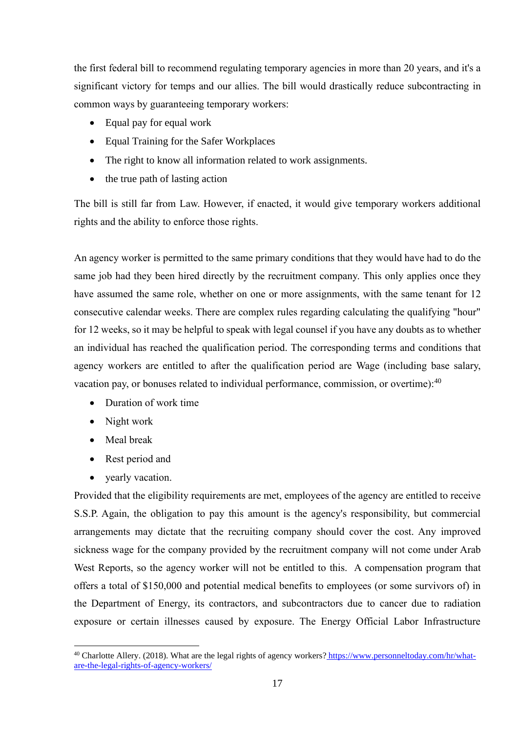the first federal bill to recommend regulating temporary agencies in more than 20 years, and it's a significant victory for temps and our allies. The bill would drastically reduce subcontracting in common ways by guaranteeing temporary workers:

- Equal pay for equal work
- Equal Training for the Safer Workplaces
- The right to know all information related to work assignments.
- the true path of lasting action

The bill is still far from Law. However, if enacted, it would give temporary workers additional rights and the ability to enforce those rights.

An agency worker is permitted to the same primary conditions that they would have had to do the same job had they been hired directly by the recruitment company. This only applies once they have assumed the same role, whether on one or more assignments, with the same tenant for 12 consecutive calendar weeks. There are complex rules regarding calculating the qualifying "hour" for 12 weeks, so it may be helpful to speak with legal counsel if you have any doubts as to whether an individual has reached the qualification period. The corresponding terms and conditions that agency workers are entitled to after the qualification period are Wage (including base salary, vacation pay, or bonuses related to individual performance, commission, or overtime):<sup>40</sup>

- Duration of work time
- Night work
- Meal break
- Rest period and
- yearly vacation.

Provided that the eligibility requirements are met, employees of the agency are entitled to receive S.S.P. Again, the obligation to pay this amount is the agency's responsibility, but commercial arrangements may dictate that the recruiting company should cover the cost. Any improved sickness wage for the company provided by the recruitment company will not come under Arab West Reports, so the agency worker will not be entitled to this. A compensation program that offers a total of \$150,000 and potential medical benefits to employees (or some survivors of) in the Department of Energy, its contractors, and subcontractors due to cancer due to radiation exposure or certain illnesses caused by exposure. The Energy Official Labor Infrastructure

<sup>&</sup>lt;sup>40</sup> Charlotte Allery. (2018). What are the legal rights of agency workers? [https://www.personneltoday.com/hr/what](https://www.personneltoday.com/hr/what-are-the-legal-rights-of-agency-workers/)[are-the-legal-rights-of-agency-workers/](https://www.personneltoday.com/hr/what-are-the-legal-rights-of-agency-workers/)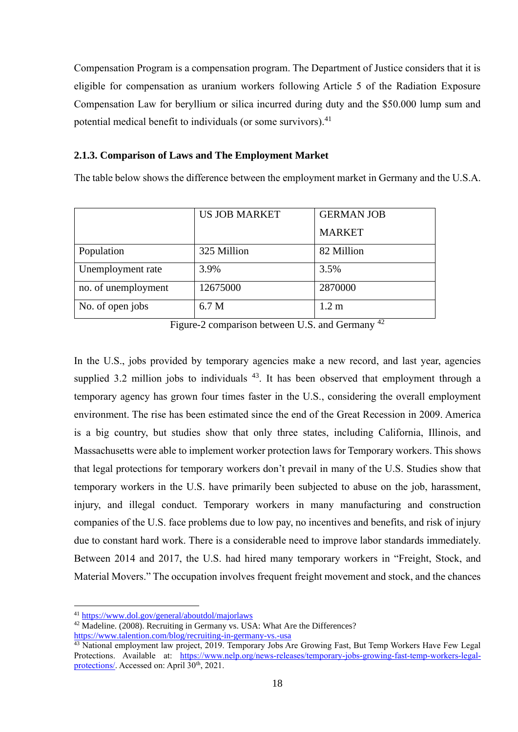Compensation Program is a compensation program. The Department of Justice considers that it is eligible for compensation as uranium workers following Article 5 of the Radiation Exposure Compensation Law for beryllium or silica incurred during duty and the \$50.000 lump sum and potential medical benefit to individuals (or some survivors).<sup>41</sup>

#### <span id="page-18-0"></span>**2.1.3. Comparison of Laws and The Employment Market**

The table below shows the difference between the employment market in Germany and the U.S.A.

|                     | <b>US JOB MARKET</b> | <b>GERMAN JOB</b> |
|---------------------|----------------------|-------------------|
|                     |                      | <b>MARKET</b>     |
| Population          | 325 Million          | 82 Million        |
| Unemployment rate   | 3.9%                 | 3.5%              |
| no. of unemployment | 12675000             | 2870000           |
| No. of open jobs    | 6.7 M                | 1.2 <sub>m</sub>  |

Figure-2 comparison between U.S. and Germany <sup>42</sup>

In the U.S., jobs provided by temporary agencies make a new record, and last year, agencies supplied 3.2 million jobs to individuals  $43$ . It has been observed that employment through a temporary agency has grown four times faster in the U.S., considering the overall employment environment. The rise has been estimated since the end of the Great Recession in 2009. America is a big country, but studies show that only three states, including California, Illinois, and Massachusetts were able to implement worker protection laws for Temporary workers. This shows that legal protections for temporary workers don't prevail in many of the U.S. Studies show that temporary workers in the U.S. have primarily been subjected to abuse on the job, harassment, injury, and illegal conduct. Temporary workers in many manufacturing and construction companies of the U.S. face problems due to low pay, no incentives and benefits, and risk of injury due to constant hard work. There is a considerable need to improve labor standards immediately. Between 2014 and 2017, the U.S. had hired many temporary workers in "Freight, Stock, and Material Movers." The occupation involves frequent freight movement and stock, and the chances

<sup>41</sup> <https://www.dol.gov/general/aboutdol/majorlaws>

<sup>&</sup>lt;sup>42</sup> Madeline. (2008). Recruiting in Germany vs. USA: What Are the Differences? https://www.talention.com/blog/recruiting-in-germany-vs.-usa

<sup>&</sup>lt;sup>43</sup> National employment law project, 2019. Temporary Jobs Are Growing Fast, But Temp Workers Have Few Legal Protections. Available at: [https://www.nelp.org/news-releases/temporary-jobs-growing-fast-temp-workers-legal](https://www.nelp.org/news-releases/temporary-jobs-growing-fast-temp-workers-legal-protections/)[protections/.](https://www.nelp.org/news-releases/temporary-jobs-growing-fast-temp-workers-legal-protections/) Accessed on: April  $30<sup>th</sup>$ , 2021.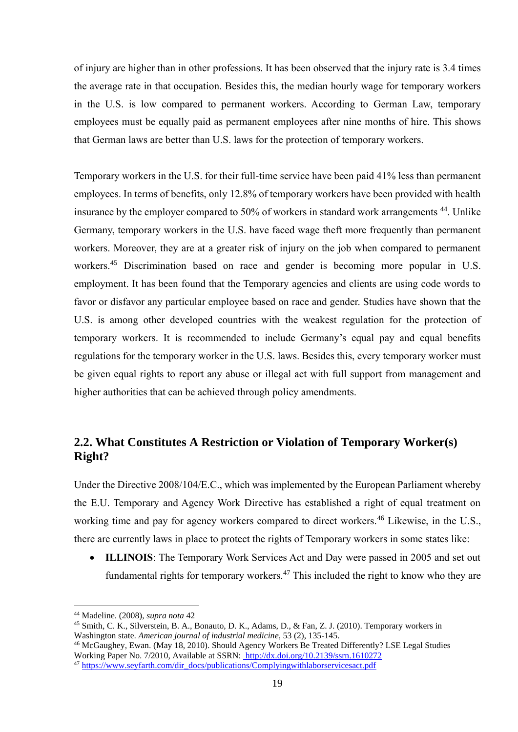of injury are higher than in other professions. It has been observed that the injury rate is 3.4 times the average rate in that occupation. Besides this, the median hourly wage for temporary workers in the U.S. is low compared to permanent workers. According to German Law, temporary employees must be equally paid as permanent employees after nine months of hire. This shows that German laws are better than U.S. laws for the protection of temporary workers.

Temporary workers in the U.S. for their full-time service have been paid 41% less than permanent employees. In terms of benefits, only 12.8% of temporary workers have been provided with health insurance by the employer compared to 50% of workers in standard work arrangements<sup>44</sup>. Unlike Germany, temporary workers in the U.S. have faced wage theft more frequently than permanent workers. Moreover, they are at a greater risk of injury on the job when compared to permanent workers.<sup>45</sup> Discrimination based on race and gender is becoming more popular in U.S. employment. It has been found that the Temporary agencies and clients are using code words to favor or disfavor any particular employee based on race and gender. Studies have shown that the U.S. is among other developed countries with the weakest regulation for the protection of temporary workers. It is recommended to include Germany's equal pay and equal benefits regulations for the temporary worker in the U.S. laws. Besides this, every temporary worker must be given equal rights to report any abuse or illegal act with full support from management and higher authorities that can be achieved through policy amendments.

## <span id="page-19-0"></span>**2.2. What Constitutes A Restriction or Violation of Temporary Worker(s) Right?**

Under the Directive 2008/104/E.C., which was implemented by the European Parliament whereby the E.U. Temporary and Agency Work Directive has established a right of equal treatment on working time and pay for agency workers compared to direct workers.<sup>46</sup> Likewise, in the U.S., there are currently laws in place to protect the rights of Temporary workers in some states like:

• **ILLINOIS**: The Temporary Work Services Act and Day were passed in 2005 and set out fundamental rights for temporary workers.<sup>47</sup> This included the right to know who they are

<sup>44</sup> Madeline. (2008), *supra nota* 42

<sup>45</sup> Smith, C. K., Silverstein, B. A., Bonauto, D. K., Adams, D., & Fan, Z. J. (2010). Temporary workers in Washington state. *American journal of industrial medicine*, 53 (2), 135-145.

<sup>46</sup> McGaughey, Ewan. (May 18, 2010). Should Agency Workers Be Treated Differently? LSE Legal Studies Working Paper No. 7/2010, Available at SSRN: [http://dx.doi.org/10.2139/ssrn.1610272](https://dx.doi.org/10.2139/ssrn.1610272)

<sup>47</sup> [https://www.seyfarth.com/dir\\_docs/publications/Complyingwithlaborservicesact.pdf](https://www.seyfarth.com/dir_docs/publications/Complyingwithlaborservicesact.pdf)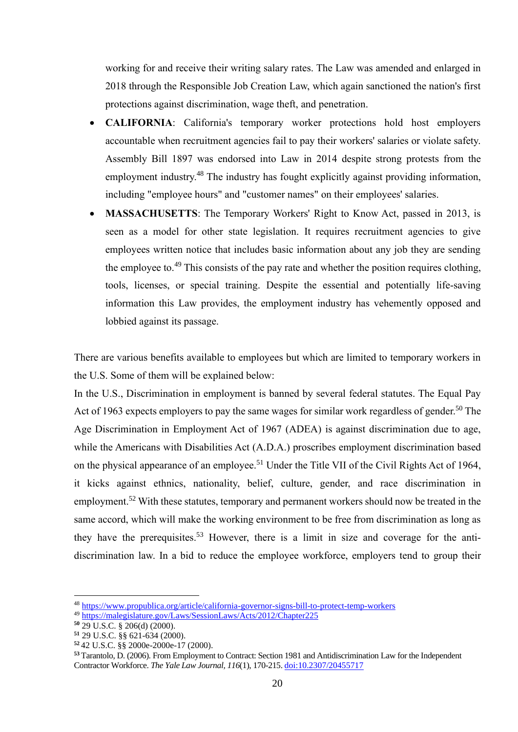working for and receive their writing salary rates. The Law was amended and enlarged in 2018 through the Responsible Job Creation Law, which again sanctioned the nation's first protections against discrimination, wage theft, and penetration.

- **CALIFORNIA**: California's temporary worker protections hold host employers accountable when recruitment agencies fail to pay their workers' salaries or violate safety. Assembly Bill 1897 was endorsed into Law in 2014 despite strong protests from the employment industry.<sup>48</sup> The industry has fought explicitly against providing information, including "employee hours" and "customer names" on their employees' salaries.
- **MASSACHUSETTS**: The Temporary Workers' Right to Know Act, passed in 2013, is seen as a model for other state legislation. It requires recruitment agencies to give employees written notice that includes basic information about any job they are sending the employee to.<sup>49</sup> This consists of the pay rate and whether the position requires clothing, tools, licenses, or special training. Despite the essential and potentially life-saving information this Law provides, the employment industry has vehemently opposed and lobbied against its passage.

There are various benefits available to employees but which are limited to temporary workers in the U.S. Some of them will be explained below:

In the U.S., Discrimination in employment is banned by several federal statutes. The Equal Pay Act of 1963 expects employers to pay the same wages for similar work regardless of gender.<sup>50</sup> The Age Discrimination in Employment Act of 1967 (ADEA) is against discrimination due to age, while the Americans with Disabilities Act (A.D.A.) proscribes employment discrimination based on the physical appearance of an employee.<sup>51</sup> Under the Title VII of the Civil Rights Act of 1964, it kicks against ethnics, nationality, belief, culture, gender, and race discrimination in employment.<sup>52</sup> With these statutes, temporary and permanent workers should now be treated in the same accord, which will make the working environment to be free from discrimination as long as they have the prerequisites.<sup>53</sup> However, there is a limit in size and coverage for the antidiscrimination law. In a bid to reduce the employee workforce, employers tend to group their

<sup>48</sup> https://www.propublica.org/article/california-governor-signs-bill-to-protect-temp-workers

<sup>49</sup> https://malegislature.gov/Laws/SessionLaws/Acts/2012/Chapter225

**<sup>50</sup>** 29 U.S.C. § 206(d) (2000).

**<sup>51</sup>** 29 U.S.C. §§ 621-634 (2000).

**<sup>52</sup>** 42 U.S.C. §§ 2000e-2000e-17 (2000).

**<sup>53</sup>** Tarantolo, D. (2006). From Employment to Contract: Section 1981 and Antidiscrimination Law for the Independent Contractor Workforce. *The Yale Law Journal, 116*(1), 170-215. doi:10.2307/20455717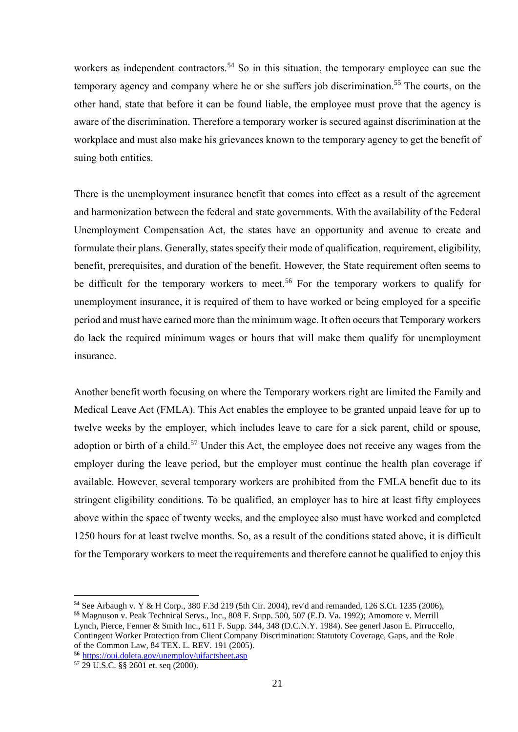workers as independent contractors.<sup>54</sup> So in this situation, the temporary employee can sue the temporary agency and company where he or she suffers job discrimination.<sup>55</sup> The courts, on the other hand, state that before it can be found liable, the employee must prove that the agency is aware of the discrimination. Therefore a temporary worker is secured against discrimination at the workplace and must also make his grievances known to the temporary agency to get the benefit of suing both entities.

There is the unemployment insurance benefit that comes into effect as a result of the agreement and harmonization between the federal and state governments. With the availability of the Federal Unemployment Compensation Act, the states have an opportunity and avenue to create and formulate their plans. Generally, states specify their mode of qualification, requirement, eligibility, benefit, prerequisites, and duration of the benefit. However, the State requirement often seems to be difficult for the temporary workers to meet.<sup>56</sup> For the temporary workers to qualify for unemployment insurance, it is required of them to have worked or being employed for a specific period and must have earned more than the minimum wage. It often occurs that Temporary workers do lack the required minimum wages or hours that will make them qualify for unemployment insurance.

Another benefit worth focusing on where the Temporary workers right are limited the Family and Medical Leave Act (FMLA). This Act enables the employee to be granted unpaid leave for up to twelve weeks by the employer, which includes leave to care for a sick parent, child or spouse, adoption or birth of a child.<sup>57</sup> Under this Act, the employee does not receive any wages from the employer during the leave period, but the employer must continue the health plan coverage if available. However, several temporary workers are prohibited from the FMLA benefit due to its stringent eligibility conditions. To be qualified, an employer has to hire at least fifty employees above within the space of twenty weeks, and the employee also must have worked and completed 1250 hours for at least twelve months. So, as a result of the conditions stated above, it is difficult for the Temporary workers to meet the requirements and therefore cannot be qualified to enjoy this

**<sup>54</sup>** See Arbaugh v. Y & H Corp., 380 F.3d 219 (5th Cir. 2004), rev'd and remanded, 126 S.Ct. 1235 (2006),

**<sup>55</sup>** Magnuson v. Peak Technical Servs., Inc., 808 F. Supp. 500, 507 (E.D. Va. 1992); Amomore v. Merrill Lynch, Pierce, Fenner & Smith Inc., 611 F. Supp. 344, 348 (D.C.N.Y. 1984). See generl Jason E. Pirruccello, Contingent Worker Protection from Client Company Discrimination: Statutoty Coverage, Gaps, and the Role of the Common Law, 84 TEX. L. REV. 191 (2005).

**<sup>56</sup>**https://oui.doleta.gov/unemploy/uifactsheet.asp

<sup>57</sup> 29 U.S.C. §§ 2601 et. seq (2000).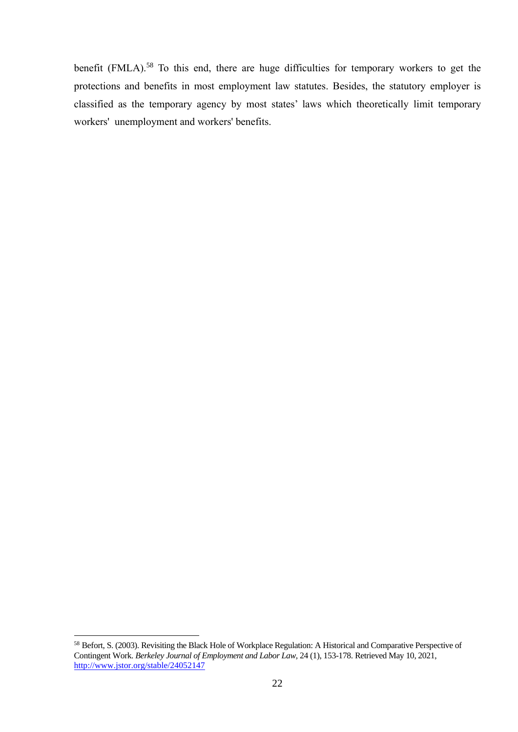benefit (FMLA).<sup>58</sup> To this end, there are huge difficulties for temporary workers to get the protections and benefits in most employment law statutes. Besides, the statutory employer is classified as the temporary agency by most states' laws which theoretically limit temporary workers' unemployment and workers' benefits.

<sup>58</sup> Befort, S. (2003). Revisiting the Black Hole of Workplace Regulation: A Historical and Comparative Perspective of Contingent Work. *Berkeley Journal of Employment and Labor Law,* 24 (1), 153-178. Retrieved May 10, 2021, http://www.jstor.org/stable/24052147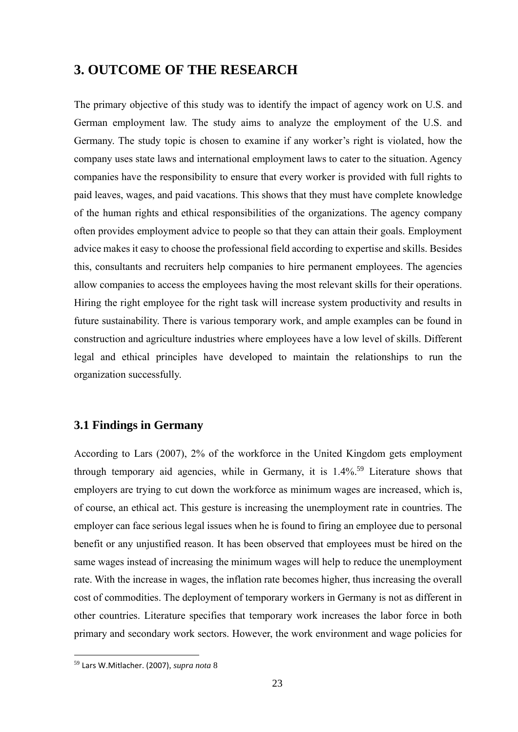## <span id="page-23-0"></span>**3. OUTCOME OF THE RESEARCH**

The primary objective of this study was to identify the impact of agency work on U.S. and German employment law. The study aims to analyze the employment of the U.S. and Germany. The study topic is chosen to examine if any worker's right is violated, how the company uses state laws and international employment laws to cater to the situation. Agency companies have the responsibility to ensure that every worker is provided with full rights to paid leaves, wages, and paid vacations. This shows that they must have complete knowledge of the human rights and ethical responsibilities of the organizations. The agency company often provides employment advice to people so that they can attain their goals. Employment advice makes it easy to choose the professional field according to expertise and skills. Besides this, consultants and recruiters help companies to hire permanent employees. The agencies allow companies to access the employees having the most relevant skills for their operations. Hiring the right employee for the right task will increase system productivity and results in future sustainability. There is various temporary work, and ample examples can be found in construction and agriculture industries where employees have a low level of skills. Different legal and ethical principles have developed to maintain the relationships to run the organization successfully.

### <span id="page-23-1"></span>**3.1 Findings in Germany**

According to Lars (2007), 2% of the workforce in the United Kingdom gets employment through temporary aid agencies, while in Germany, it is 1.4%. <sup>59</sup> Literature shows that employers are trying to cut down the workforce as minimum wages are increased, which is, of course, an ethical act. This gesture is increasing the unemployment rate in countries. The employer can face serious legal issues when he is found to firing an employee due to personal benefit or any unjustified reason. It has been observed that employees must be hired on the same wages instead of increasing the minimum wages will help to reduce the unemployment rate. With the increase in wages, the inflation rate becomes higher, thus increasing the overall cost of commodities. The deployment of temporary workers in Germany is not as different in other countries. Literature specifies that temporary work increases the labor force in both primary and secondary work sectors. However, the work environment and wage policies for

<sup>59</sup> Lars W.Mitlacher. (2007), *supra nota* 8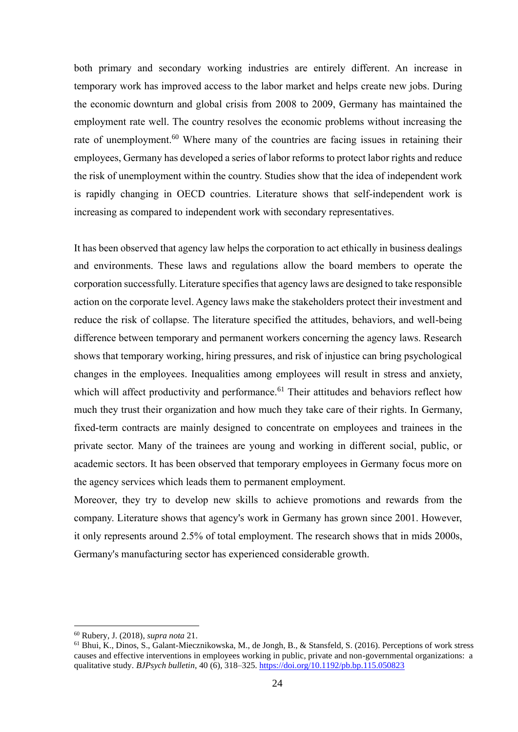both primary and secondary working industries are entirely different. An increase in temporary work has improved access to the labor market and helps create new jobs. During the economic downturn and global crisis from 2008 to 2009, Germany has maintained the employment rate well. The country resolves the economic problems without increasing the rate of unemployment.<sup>60</sup> Where many of the countries are facing issues in retaining their employees, Germany has developed a series of labor reforms to protect labor rights and reduce the risk of unemployment within the country. Studies show that the idea of independent work is rapidly changing in OECD countries. Literature shows that self-independent work is increasing as compared to independent work with secondary representatives.

It has been observed that agency law helps the corporation to act ethically in business dealings and environments. These laws and regulations allow the board members to operate the corporation successfully. Literature specifies that agency laws are designed to take responsible action on the corporate level. Agency laws make the stakeholders protect their investment and reduce the risk of collapse. The literature specified the attitudes, behaviors, and well-being difference between temporary and permanent workers concerning the agency laws. Research shows that temporary working, hiring pressures, and risk of injustice can bring psychological changes in the employees. Inequalities among employees will result in stress and anxiety, which will affect productivity and performance.<sup>61</sup> Their attitudes and behaviors reflect how much they trust their organization and how much they take care of their rights. In Germany, fixed-term contracts are mainly designed to concentrate on employees and trainees in the private sector. Many of the trainees are young and working in different social, public, or academic sectors. It has been observed that temporary employees in Germany focus more on the agency services which leads them to permanent employment.

Moreover, they try to develop new skills to achieve promotions and rewards from the company. Literature shows that agency's work in Germany has grown since 2001. However, it only represents around 2.5% of total employment. The research shows that in mids 2000s, Germany's manufacturing sector has experienced considerable growth.

<sup>60</sup> Rubery, J. (2018), *supra nota* 21.

<sup>61</sup> Bhui, K., Dinos, S., Galant-Miecznikowska, M., de Jongh, B., & Stansfeld, S. (2016). Perceptions of work stress causes and effective interventions in employees working in public, private and non-governmental organizations: a qualitative study. *BJPsych bulletin*, 40 (6), 318–325.<https://doi.org/10.1192/pb.bp.115.050823>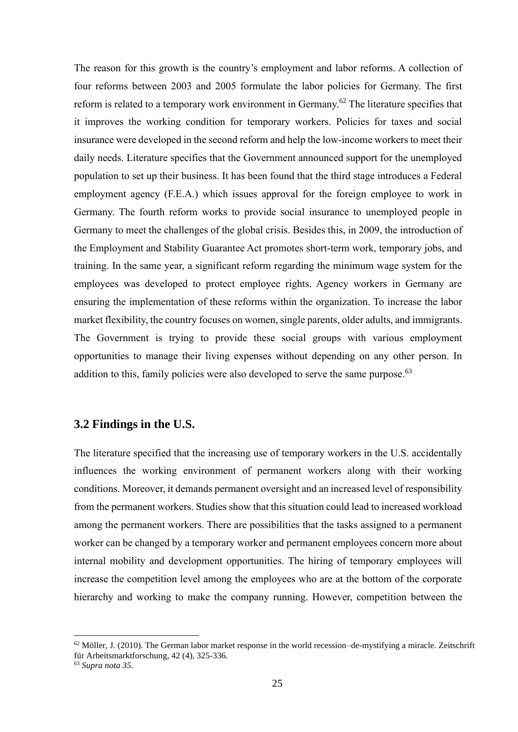The reason for this growth is the country's employment and labor reforms. A collection of four reforms between 2003 and 2005 formulate the labor policies for Germany. The first reform is related to a temporary work environment in Germany.<sup>62</sup> The literature specifies that it improves the working condition for temporary workers. Policies for taxes and social insurance were developed in the second reform and help the low-income workers to meet their daily needs. Literature specifies that the Government announced support for the unemployed population to set up their business. It has been found that the third stage introduces a Federal employment agency (F.E.A.) which issues approval for the foreign employee to work in Germany. The fourth reform works to provide social insurance to unemployed people in Germany to meet the challenges of the global crisis. Besides this, in 2009, the introduction of the Employment and Stability Guarantee Act promotes short-term work, temporary jobs, and training. In the same year, a significant reform regarding the minimum wage system for the employees was developed to protect employee rights. Agency workers in Germany are ensuring the implementation of these reforms within the organization. To increase the labor market flexibility, the country focuses on women, single parents, older adults, and immigrants. The Government is trying to provide these social groups with various employment opportunities to manage their living expenses without depending on any other person. In addition to this, family policies were also developed to serve the same purpose.<sup>63</sup>

#### <span id="page-25-0"></span>**3.2 Findings in the U.S.**

The literature specified that the increasing use of temporary workers in the U.S. accidentally influences the working environment of permanent workers along with their working conditions. Moreover, it demands permanent oversight and an increased level of responsibility from the permanent workers. Studies show that this situation could lead to increased workload among the permanent workers. There are possibilities that the tasks assigned to a permanent worker can be changed by a temporary worker and permanent employees concern more about internal mobility and development opportunities. The hiring of temporary employees will increase the competition level among the employees who are at the bottom of the corporate hierarchy and working to make the company running. However, competition between the

 $62$  Möller, J. (2010). The German labor market response in the world recession–de-mystifying a miracle. Zeitschrift für Arbeitsmarktforschung, 42 (4), 325-336.

<sup>63</sup> *Supra nota 35.*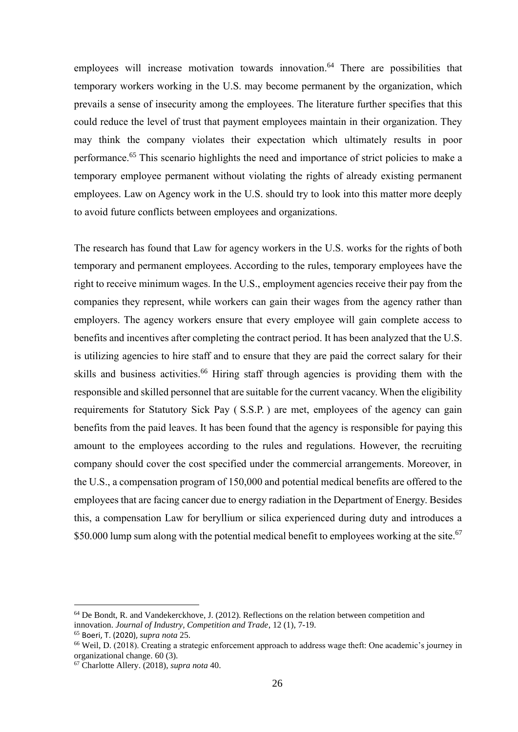employees will increase motivation towards innovation. <sup>64</sup> There are possibilities that temporary workers working in the U.S. may become permanent by the organization, which prevails a sense of insecurity among the employees. The literature further specifies that this could reduce the level of trust that payment employees maintain in their organization. They may think the company violates their expectation which ultimately results in poor performance.<sup>65</sup> This scenario highlights the need and importance of strict policies to make a temporary employee permanent without violating the rights of already existing permanent employees. Law on Agency work in the U.S. should try to look into this matter more deeply to avoid future conflicts between employees and organizations.

The research has found that Law for agency workers in the U.S. works for the rights of both temporary and permanent employees. According to the rules, temporary employees have the right to receive minimum wages. In the U.S., employment agencies receive their pay from the companies they represent, while workers can gain their wages from the agency rather than employers. The agency workers ensure that every employee will gain complete access to benefits and incentives after completing the contract period. It has been analyzed that the U.S. is utilizing agencies to hire staff and to ensure that they are paid the correct salary for their skills and business activities.<sup>66</sup> Hiring staff through agencies is providing them with the responsible and skilled personnel that are suitable for the current vacancy. When the eligibility requirements for Statutory Sick Pay ( S.S.P. ) are met, employees of the agency can gain benefits from the paid leaves. It has been found that the agency is responsible for paying this amount to the employees according to the rules and regulations. However, the recruiting company should cover the cost specified under the commercial arrangements. Moreover, in the U.S., a compensation program of 150,000 and potential medical benefits are offered to the employees that are facing cancer due to energy radiation in the Department of Energy. Besides this, a compensation Law for beryllium or silica experienced during duty and introduces a \$50.000 lump sum along with the potential medical benefit to employees working at the site.<sup>67</sup>

 $64$  De Bondt, R, and Vandekerckhove, J. (2012). Reflections on the relation between competition and innovation. *Journal of Industry, Competition and Trade*, 12 (1), 7-19.

<sup>65</sup> Boeri, T. (2020), *supra nota* 25.

<sup>66</sup> Weil, D. (2018). Creating a strategic enforcement approach to address wage theft: One academic's journey in organizational change. 60 (3).

<sup>67</sup> Charlotte Allery. (2018), *supra nota* 40.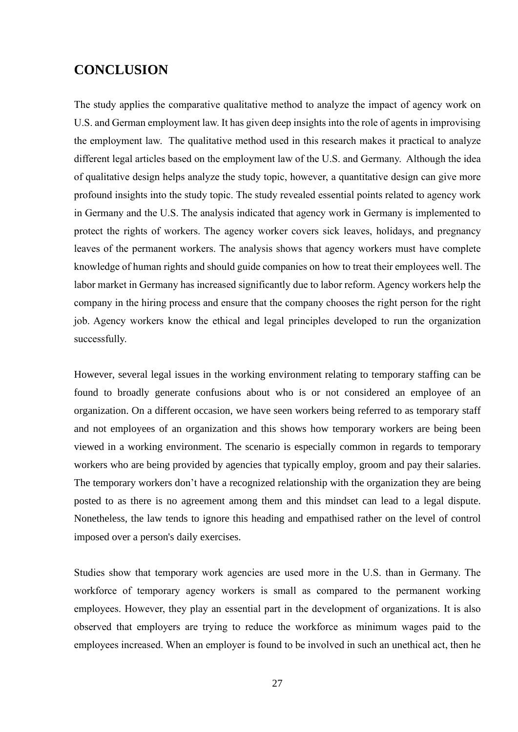## <span id="page-27-0"></span>**CONCLUSION**

The study applies the comparative qualitative method to analyze the impact of agency work on U.S. and German employment law. It has given deep insights into the role of agents in improvising the employment law. The qualitative method used in this research makes it practical to analyze different legal articles based on the employment law of the U.S. and Germany. Although the idea of qualitative design helps analyze the study topic, however, a quantitative design can give more profound insights into the study topic. The study revealed essential points related to agency work in Germany and the U.S. The analysis indicated that agency work in Germany is implemented to protect the rights of workers. The agency worker covers sick leaves, holidays, and pregnancy leaves of the permanent workers. The analysis shows that agency workers must have complete knowledge of human rights and should guide companies on how to treat their employees well. The labor market in Germany has increased significantly due to labor reform. Agency workers help the company in the hiring process and ensure that the company chooses the right person for the right job. Agency workers know the ethical and legal principles developed to run the organization successfully.

However, several legal issues in the working environment relating to temporary staffing can be found to broadly generate confusions about who is or not considered an employee of an organization. On a different occasion, we have seen workers being referred to as temporary staff and not employees of an organization and this shows how temporary workers are being been viewed in a working environment. The scenario is especially common in regards to temporary workers who are being provided by agencies that typically employ, groom and pay their salaries. The temporary workers don't have a recognized relationship with the organization they are being posted to as there is no agreement among them and this mindset can lead to a legal dispute. Nonetheless, the law tends to ignore this heading and empathised rather on the level of control imposed over a person's daily exercises.

Studies show that temporary work agencies are used more in the U.S. than in Germany. The workforce of temporary agency workers is small as compared to the permanent working employees. However, they play an essential part in the development of organizations. It is also observed that employers are trying to reduce the workforce as minimum wages paid to the employees increased. When an employer is found to be involved in such an unethical act, then he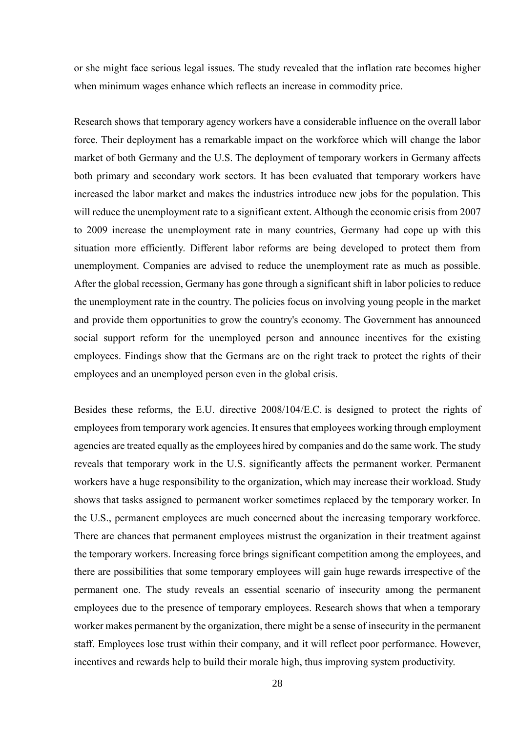or she might face serious legal issues. The study revealed that the inflation rate becomes higher when minimum wages enhance which reflects an increase in commodity price.

Research shows that temporary agency workers have a considerable influence on the overall labor force. Their deployment has a remarkable impact on the workforce which will change the labor market of both Germany and the U.S. The deployment of temporary workers in Germany affects both primary and secondary work sectors. It has been evaluated that temporary workers have increased the labor market and makes the industries introduce new jobs for the population. This will reduce the unemployment rate to a significant extent. Although the economic crisis from 2007 to 2009 increase the unemployment rate in many countries, Germany had cope up with this situation more efficiently. Different labor reforms are being developed to protect them from unemployment. Companies are advised to reduce the unemployment rate as much as possible. After the global recession, Germany has gone through a significant shift in labor policies to reduce the unemployment rate in the country. The policies focus on involving young people in the market and provide them opportunities to grow the country's economy. The Government has announced social support reform for the unemployed person and announce incentives for the existing employees. Findings show that the Germans are on the right track to protect the rights of their employees and an unemployed person even in the global crisis.

Besides these reforms, the E.U. directive [2008/104/E.C.](https://eur-lex.europa.eu/legal-content/EN/ALL/?uri=CELEX%3A32008L0104) is designed to protect the rights of employees from temporary work agencies. It ensures that employees working through employment [agencies](https://en.wikipedia.org/wiki/Employment_agencies) are treated equally as the employees hired by companies and do the same work. The study reveals that temporary work in the U.S. significantly affects the permanent worker. Permanent workers have a huge responsibility to the organization, which may increase their workload. Study shows that tasks assigned to permanent worker sometimes replaced by the temporary worker. In the U.S., permanent employees are much concerned about the increasing temporary workforce. There are chances that permanent employees mistrust the organization in their treatment against the temporary workers. Increasing force brings significant competition among the employees, and there are possibilities that some temporary employees will gain huge rewards irrespective of the permanent one. The study reveals an essential scenario of insecurity among the permanent employees due to the presence of temporary employees. Research shows that when a temporary worker makes permanent by the organization, there might be a sense of insecurity in the permanent staff. Employees lose trust within their company, and it will reflect poor performance. However, incentives and rewards help to build their morale high, thus improving system productivity.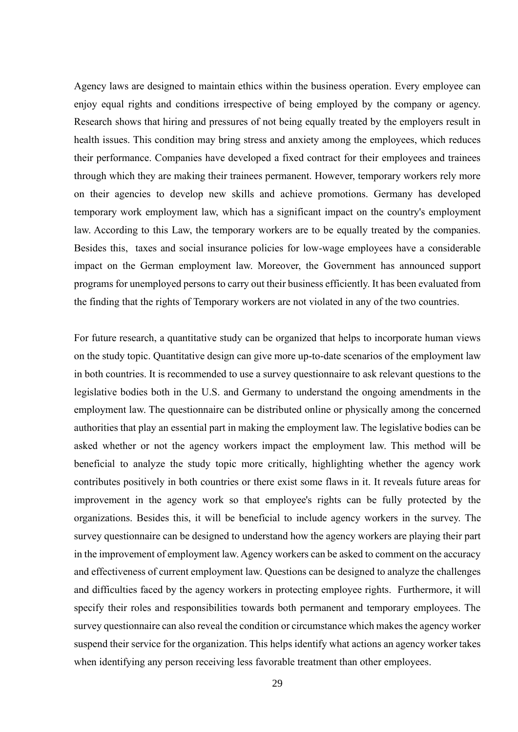Agency laws are designed to maintain ethics within the business operation. Every employee can enjoy equal rights and conditions irrespective of being employed by the company or agency. Research shows that hiring and pressures of not being equally treated by the employers result in health issues. This condition may bring stress and anxiety among the employees, which reduces their performance. Companies have developed a fixed contract for their employees and trainees through which they are making their trainees permanent. However, temporary workers rely more on their agencies to develop new skills and achieve promotions. Germany has developed temporary work employment law, which has a significant impact on the country's employment law. According to this Law, the temporary workers are to be equally treated by the companies. Besides this, taxes and social insurance policies for low-wage employees have a considerable impact on the German employment law. Moreover, the Government has announced support programs for unemployed persons to carry out their business efficiently. It has been evaluated from the finding that the rights of Temporary workers are not violated in any of the two countries.

For future research, a quantitative study can be organized that helps to incorporate human views on the study topic. Quantitative design can give more up-to-date scenarios of the employment law in both countries. It is recommended to use a survey questionnaire to ask relevant questions to the legislative bodies both in the U.S. and Germany to understand the ongoing amendments in the employment law. The questionnaire can be distributed online or physically among the concerned authorities that play an essential part in making the employment law. The legislative bodies can be asked whether or not the agency workers impact the employment law. This method will be beneficial to analyze the study topic more critically, highlighting whether the agency work contributes positively in both countries or there exist some flaws in it. It reveals future areas for improvement in the agency work so that employee's rights can be fully protected by the organizations. Besides this, it will be beneficial to include agency workers in the survey. The survey questionnaire can be designed to understand how the agency workers are playing their part in the improvement of employment law. Agency workers can be asked to comment on the accuracy and effectiveness of current employment law. Questions can be designed to analyze the challenges and difficulties faced by the agency workers in protecting employee rights. Furthermore, it will specify their roles and responsibilities towards both permanent and temporary employees. The survey questionnaire can also reveal the condition or circumstance which makes the agency worker suspend their service for the organization. This helps identify what actions an agency worker takes when identifying any person receiving less favorable treatment than other employees.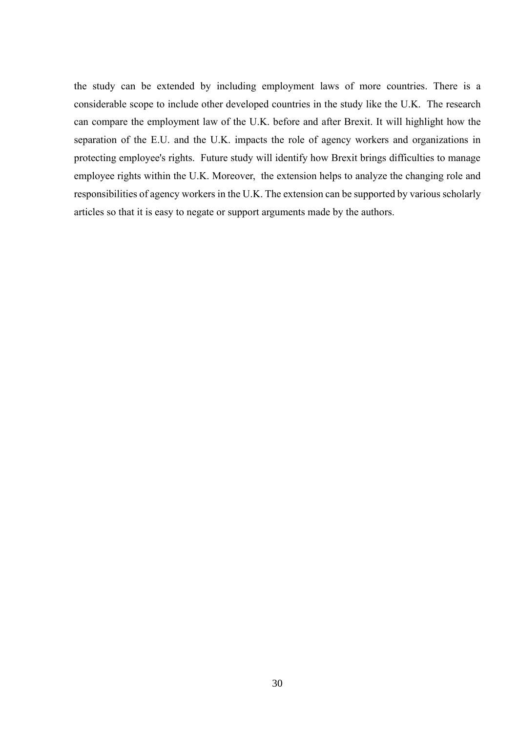the study can be extended by including employment laws of more countries. There is a considerable scope to include other developed countries in the study like the U.K. The research can compare the employment law of the U.K. before and after Brexit. It will highlight how the separation of the E.U. and the U.K. impacts the role of agency workers and organizations in protecting employee's rights. Future study will identify how Brexit brings difficulties to manage employee rights within the U.K. Moreover, the extension helps to analyze the changing role and responsibilities of agency workers in the U.K. The extension can be supported by various scholarly articles so that it is easy to negate or support arguments made by the authors.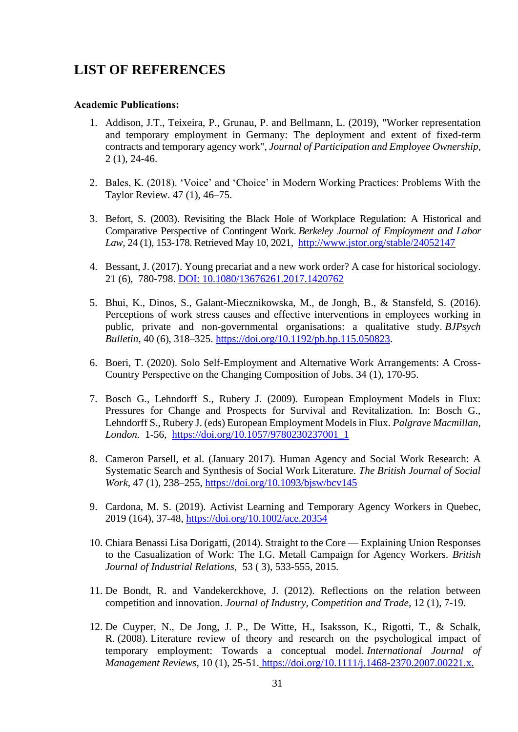## <span id="page-31-0"></span>**LIST OF REFERENCES**

#### **Academic Publications:**

- 1. Addison, J.T., Teixeira, P., Grunau, P. and Bellmann, L. (2019), "Worker representation and temporary employment in Germany: The deployment and extent of fixed-term contracts and temporary agency work", *Journal of Participation and Employee Ownership,* 2 (1), 24-46.
- 2. Bales, K. (2018). 'Voice' and 'Choice' in Modern Working Practices: Problems With the Taylor Review. 47 (1), 46–75.
- 3. Befort, S. (2003). Revisiting the Black Hole of Workplace Regulation: A Historical and Comparative Perspective of Contingent Work. *Berkeley Journal of Employment and Labor Law,* 24 (1), 153-178. Retrieved May 10, 2021, http://www.jstor.org/stable/24052147
- 4. Bessant, J. (2017). Young precariat and a new work order? A case for historical sociology. 21 (6), 780-798. DOI: [10.1080/13676261.2017.1420762](https://doi.org/10.1080/13676261.2017.1420762)
- 5. Bhui, K., Dinos, S., Galant-Miecznikowska, M., de Jongh, B., & Stansfeld, S. (2016). Perceptions of work stress causes and effective interventions in employees working in public, private and non-governmental organisations: a qualitative study. *BJPsych Bulletin*, 40 (6), 318–325. [https://doi.org/10.1192/pb.bp.115.050823.](https://doi.org/10.1192/pb.bp.115.050823)
- 6. Boeri, T. (2020). Solo Self-Employment and Alternative Work Arrangements: A Cross-Country Perspective on the Changing Composition of Jobs. 34 (1), 170-95.
- 7. Bosch G., Lehndorff S., Rubery J. (2009). European Employment Models in Flux: Pressures for Change and Prospects for Survival and Revitalization. In: Bosch G., Lehndorff S., Rubery J. (eds) European Employment Models in Flux. *Palgrave Macmillan, London.* 1-56, [https://doi.org/10.1057/9780230237001\\_1](https://doi.org/10.1057/9780230237001_1)
- 8. Cameron Parsell, et al. (January 2017). Human Agency and Social Work Research: A Systematic Search and Synthesis of Social Work Literature. *The British Journal of Social Work*, 47 (1), 238–255, https://doi.org/10.1093/bjsw/bcv145
- 9. Cardona, M. S. (2019). Activist Learning and Temporary Agency Workers in Quebec, 2019 (164), 37-48, https://doi.org/10.1002/ace.20354
- 10. Chiara Benassi Lisa Dorigatti, (2014). Straight to the Core Explaining Union Responses to the Casualization of Work: The I.G. Metall Campaign for Agency Workers. *[British](https://papers.ssrn.com/sol3/papers.cfm?abstract_id=2649477)  [Journal of Industrial Relations,](https://papers.ssrn.com/sol3/papers.cfm?abstract_id=2649477)* 53 ( 3), 533-555, 2015*.*
- 11. De Bondt, R. and Vandekerckhove, J. (2012). Reflections on the relation between competition and innovation. *Journal of Industry, Competition and Trade*, 12 (1), 7-19.
- 12. De Cuyper, N., De Jong, J. P., De Witte, H., Isaksson, K., Rigotti, T., & Schalk, R. (2008). Literature review of theory and research on the psychological impact of temporary employment: Towards a conceptual model. *International Journal of Management Reviews*, 10 (1), 25-51. https://doi.org/10.1111/j.1468-2370.2007.00221.x.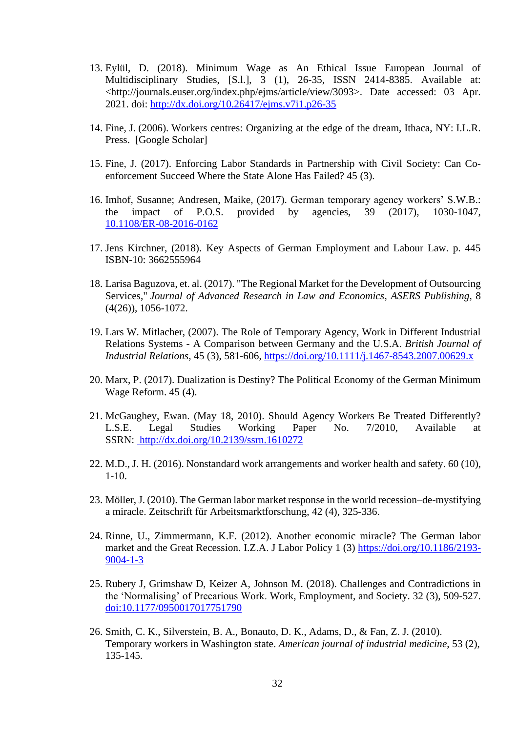- 13. Eylül, D. (2018). Minimum Wage as An Ethical Issue European Journal of Multidisciplinary Studies, [S.l.], 3 (1), 26-35, ISSN 2414-8385. Available at: <http://journals.euser.org/index.php/ejms/article/view/3093>. Date accessed: 03 Apr. 2021. doi:<http://dx.doi.org/10.26417/ejms.v7i1.p26-35>
- 14. Fine, J. (2006). Workers centres: Organizing at the edge of the dream, Ithaca, NY: I.L.R. Press. [\[Google Scholar\]](http://scholar.google.com/scholar_lookup?hl=en&publication_year=2006&author=J.+Fine&title=+Workers+centers%3A+Organizing+at+the+edge+of+the+dream+)
- 15. Fine, J. (2017). Enforcing Labor Standards in Partnership with Civil Society: Can Coenforcement Succeed Where the State Alone Has Failed? 45 (3).
- 16. Imhof, Susanne; Andresen, Maike, (2017). German temporary agency workers' S.W.B.: the impact of P.O.S. provided by agencies, 39 (2017), 1030-1047, [10.1108/ER-08-2016-0162](https://doi.org/10.1108/ER-08-2016-0162)
- 17. Jens Kirchner, (2018). Key Aspects of German Employment and Labour Law. p. 445 ISBN-10: 3662555964
- 18. Larisa Baguzova, et. al. (2017). ["The Regional Market for the Development of Outsourcing](https://ideas.repec.org/a/srs/jarle0/v8y2017i4(26)p1056-1072.html)  [Services,](https://ideas.repec.org/a/srs/jarle0/v8y2017i4(26)p1056-1072.html)" *[Journal of Advanced Research in Law and Economics](https://ideas.repec.org/s/srs/jarle0.html)*, *ASERS Publishing,* 8 (4(26)), 1056-1072.
- 19. Lars W. Mitlacher, (2007). The Role of Temporary Agency, Work in Different Industrial Relations Systems - A Comparison between Germany and the U.S.A. *British Journal of Industrial Relations*, 45 (3), 581-606, https://doi.org/10.1111/j.1467-8543.2007.00629.x
- 20. Marx, P. (2017). Dualization is Destiny? The Political Economy of the German Minimum Wage Reform. 45 (4).
- 21. McGaughey, Ewan. (May 18, 2010). Should Agency Workers Be Treated Differently? L.S.E. Legal Studies Working Paper No. 7/2010, Available at SSRN: [http://dx.doi.org/10.2139/ssrn.1610272](https://dx.doi.org/10.2139/ssrn.1610272)
- 22. M.D., J. H. (2016). Nonstandard work arrangements and worker health and safety. 60 (10),  $1-10.$
- 23. Möller, J. (2010). The German labor market response in the world recession–de-mystifying a miracle. Zeitschrift für Arbeitsmarktforschung, 42 (4), 325-336.
- 24. Rinne, U., Zimmermann, K.F. (2012). Another economic miracle? The German labor market and the Great Recession. I.Z.A. J Labor Policy 1 (3) [https://doi.org/10.1186/2193-](https://doi.org/10.1186/2193-9004-1-3) [9004-1-3](https://doi.org/10.1186/2193-9004-1-3)
- 25. Rubery J, Grimshaw D, Keizer A, Johnson M. (2018). Challenges and Contradictions in the 'Normalising' of Precarious Work. Work, Employment, and Society. 32 (3), 509-527. doi[:10.1177/0950017017751790](https://doi.org/10.1177/0950017017751790)
- 26. Smith, C. K., Silverstein, B. A., Bonauto, D. K., Adams, D., & Fan, Z. J. (2010). Temporary workers in Washington state. *American journal of industrial medicine*, 53 (2), 135-145.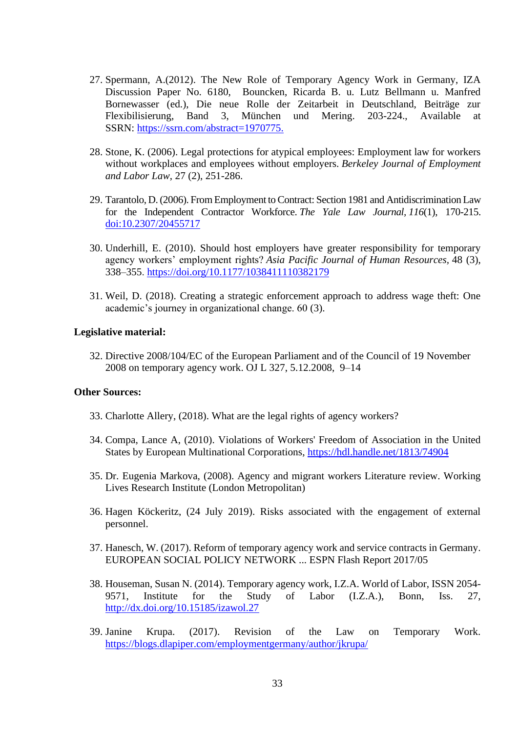- 27. Spermann, A.(2012). The New Role of Temporary Agency Work in Germany, IZA Discussion Paper No. 6180, Bouncken, Ricarda B. u. Lutz Bellmann u. Manfred Bornewasser (ed.), Die neue Rolle der Zeitarbeit in Deutschland, Beiträge zur Flexibilisierung, Band 3, München und Mering. 203-224., Available at SSRN: [https://ssrn.com/abstract=1970775.](https://ssrn.com/abstract=1970775)
- 28. Stone, K. (2006). Legal protections for atypical employees: Employment law for workers without workplaces and employees without employers. *Berkeley Journal of Employment and Labor Law*, 27 (2), 251-286.
- 29. Tarantolo, D. (2006). From Employment to Contract: Section 1981 and Antidiscrimination Law for the Independent Contractor Workforce. *The Yale Law Journal, 116*(1), 170-215. doi:10.2307/20455717
- 30. Underhill, E. (2010). Should host employers have greater responsibility for temporary agency workers' employment rights? *Asia Pacific Journal of Human Resources,* 48 (3), 338–355. <https://doi.org/10.1177/1038411110382179>
- 31. Weil, D. (2018). Creating a strategic enforcement approach to address wage theft: One academic's journey in organizational change. 60 (3).

#### **Legislative material:**

32. Directive 2008/104/EC of the European Parliament and of the Council of 19 November 2008 on temporary agency work. OJ L 327, 5.12.2008, 9–14

#### **Other Sources:**

- 33. Charlotte Allery, (2018). What are the legal rights of agency workers?
- 34. Compa, Lance A, (2010). Violations of Workers' Freedom of Association in the United States by European Multinational Corporations,<https://hdl.handle.net/1813/74904>
- 35. Dr. Eugenia Markova, (2008). Agency and migrant workers Literature review. Working Lives Research Institute (London Metropolitan)
- 36. Hagen Köckeritz, (24 July 2019). Risks associated with the engagement of external personnel.
- 37. Hanesch, W. (2017). Reform of temporary agency work and service contracts in Germany. EUROPEAN SOCIAL POLICY NETWORK ... ESPN Flash Report 2017/05
- 38. Houseman, Susan N. (2014). Temporary agency work, I.Z.A. World of Labor, ISSN 2054- 9571, Institute for the Study of Labor (I.Z.A.), Bonn, Iss. 27, http://dx.doi.org/10.15185/izawol.27
- 39. Janine Krupa. (2017). Revision of the Law on Temporary Work. https://blogs.dlapiper.com/employmentgermany/author/jkrupa/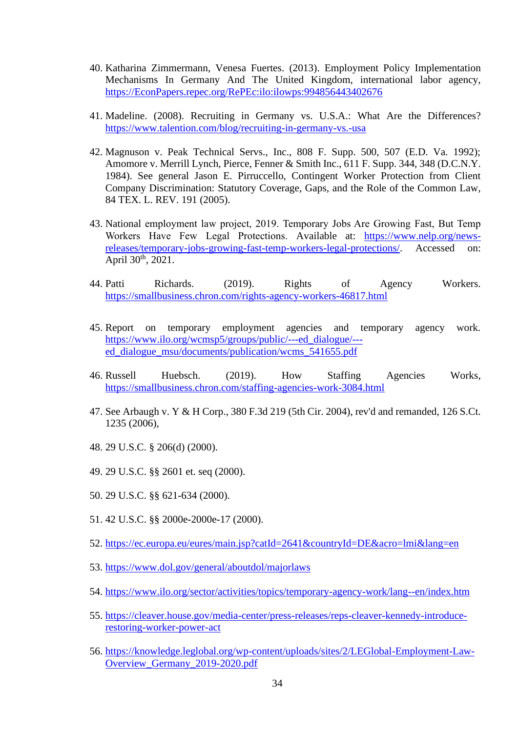- 40. Katharina Zimmermann, Venesa Fuertes. (2013). Employment Policy Implementation Mechanisms In Germany And The United Kingdom, international labor agency, [https://EconPapers.repec.org/RePEc:ilo:ilowps:994856443402676](https://econpapers.repec.org/RePEc:ilo:ilowps:994856443402676)
- 41. Madeline. (2008). Recruiting in Germany vs. U.S.A.: What Are the Differences? https://www.talention.com/blog/recruiting-in-germany-vs.-usa
- 42. Magnuson v. Peak Technical Servs., Inc., 808 F. Supp. 500, 507 (E.D. Va. 1992); Amomore v. Merrill Lynch, Pierce, Fenner & Smith Inc., 611 F. Supp. 344, 348 (D.C.N.Y. 1984). See general Jason E. Pirruccello, Contingent Worker Protection from Client Company Discrimination: Statutory Coverage, Gaps, and the Role of the Common Law, 84 TEX. L. REV. 191 (2005).
- 43. National employment law project, 2019. Temporary Jobs Are Growing Fast, But Temp Workers Have Few Legal Protections. Available at: [https://www.nelp.org/news](https://www.nelp.org/news-releases/temporary-jobs-growing-fast-temp-workers-legal-protections/)[releases/temporary-jobs-growing-fast-temp-workers-legal-protections/.](https://www.nelp.org/news-releases/temporary-jobs-growing-fast-temp-workers-legal-protections/) Accessed on: April  $30^{th}$ ,  $2021$ .
- 44. Patti Richards. (2019). Rights of Agency Workers. https://smallbusiness.chron.com/rights-agency-workers-46817.html
- 45. Report on temporary employment agencies and temporary agency work. https://www.ilo.org/wcmsp5/groups/public/---ed\_dialogue/-- ed\_dialogue\_msu/documents/publication/wcms\_541655.pdf
- 46. Russell Huebsch. (2019). How Staffing Agencies Works, https://smallbusiness.chron.com/staffing-agencies-work-3084.html
- 47. See Arbaugh v. Y & H Corp., 380 F.3d 219 (5th Cir. 2004), rev'd and remanded, 126 S.Ct. 1235 (2006),
- 48. 29 U.S.C. § 206(d) (2000).
- 49. 29 U.S.C. §§ 2601 et. seq (2000).
- 50. 29 U.S.C. §§ 621-634 (2000).
- 51. 42 U.S.C. §§ 2000e-2000e-17 (2000).
- 52. <https://ec.europa.eu/eures/main.jsp?catId=2641&countryId=DE&acro=lmi&lang=en>
- 53. <https://www.dol.gov/general/aboutdol/majorlaws>
- 54. https://www.ilo.org/sector/activities/topics/temporary-agency-work/lang--en/index.htm
- 55. [https://cleaver.house.gov/media-center/press-releases/reps-cleaver-kennedy-introduce](https://cleaver.house.gov/media-center/press-releases/reps-cleaver-kennedy-introduce-restoring-worker-power-act)[restoring-worker-power-act](https://cleaver.house.gov/media-center/press-releases/reps-cleaver-kennedy-introduce-restoring-worker-power-act)
- 56. https://knowledge.leglobal.org/wp-content/uploads/sites/2/LEGlobal-Employment-Law-Overview\_Germany\_2019-2020.pdf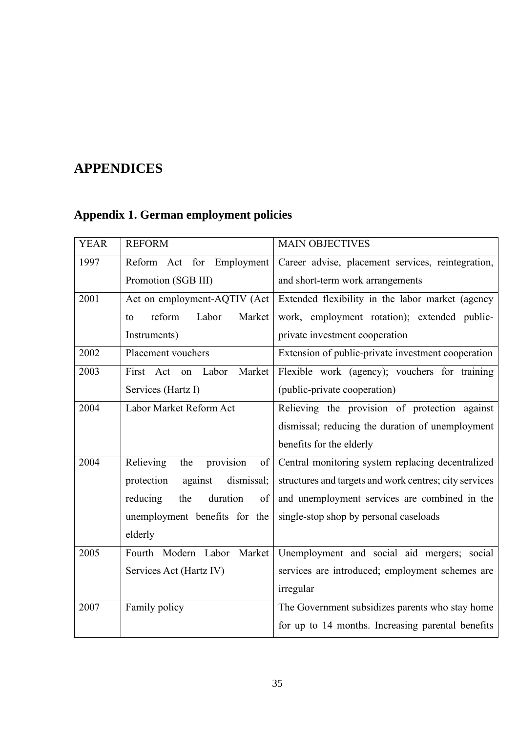## <span id="page-35-0"></span>**APPENDICES**

## <span id="page-35-1"></span>**Appendix 1. German employment policies**

| <b>YEAR</b> | <b>REFORM</b>                       | <b>MAIN OBJECTIVES</b>                                 |
|-------------|-------------------------------------|--------------------------------------------------------|
| 1997        | Act for Employment<br>Reform        | Career advise, placement services, reintegration,      |
|             | Promotion (SGB III)                 | and short-term work arrangements                       |
| 2001        | Act on employment-AQTIV (Act        | Extended flexibility in the labor market (agency       |
|             | reform<br>Labor<br>Market<br>to     | work, employment rotation); extended public-           |
|             | Instruments)                        | private investment cooperation                         |
| 2002        | Placement vouchers                  | Extension of public-private investment cooperation     |
| 2003        | First Act on<br>Labor<br>Market     | Flexible work (agency); vouchers for training          |
|             | Services (Hartz I)                  | (public-private cooperation)                           |
| 2004        | Labor Market Reform Act             | Relieving the provision of protection against          |
|             |                                     | dismissal; reducing the duration of unemployment       |
|             |                                     | benefits for the elderly                               |
| 2004        | provision<br>Relieving<br>the<br>of | Central monitoring system replacing decentralized      |
|             | against<br>dismissal;<br>protection | structures and targets and work centres; city services |
|             | the<br>duration<br>reducing<br>of   | and unemployment services are combined in the          |
|             | unemployment benefits for the       | single-stop shop by personal caseloads                 |
|             | elderly                             |                                                        |
| 2005        | Fourth Modern Labor<br>Market       | Unemployment and social aid mergers; social            |
|             | Services Act (Hartz IV)             | services are introduced; employment schemes are        |
|             |                                     | irregular                                              |
| 2007        | Family policy                       | The Government subsidizes parents who stay home        |
|             |                                     | for up to 14 months. Increasing parental benefits      |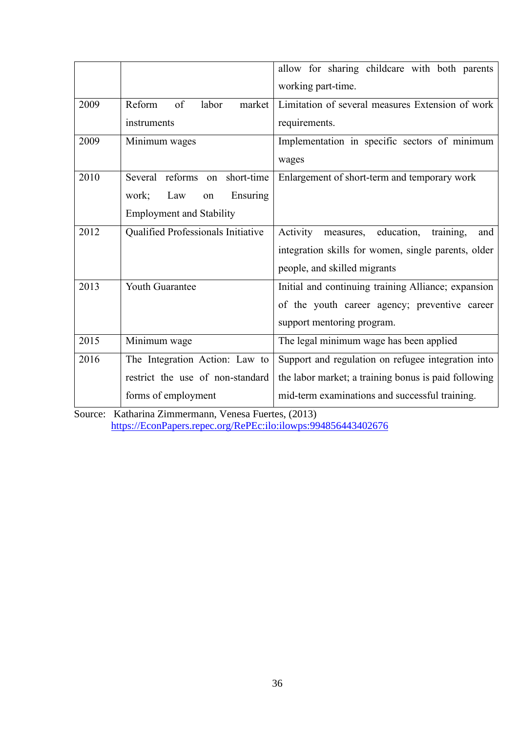|      |                                       | allow for sharing childcare with both parents           |
|------|---------------------------------------|---------------------------------------------------------|
|      |                                       | working part-time.                                      |
| 2009 | $\sigma$<br>Reform<br>labor<br>market | Limitation of several measures Extension of work        |
|      | instruments                           | requirements.                                           |
| 2009 | Minimum wages                         | Implementation in specific sectors of minimum           |
|      |                                       | wages                                                   |
| 2010 | Several reforms on<br>short-time      | Enlargement of short-term and temporary work            |
|      | Ensuring<br>Law<br>work;<br>on        |                                                         |
|      | <b>Employment and Stability</b>       |                                                         |
| 2012 | Qualified Professionals Initiative    | Activity<br>education,<br>measures,<br>training,<br>and |
|      |                                       | integration skills for women, single parents, older     |
|      |                                       | people, and skilled migrants                            |
| 2013 | Youth Guarantee                       | Initial and continuing training Alliance; expansion     |
|      |                                       | of the youth career agency; preventive career           |
|      |                                       | support mentoring program.                              |
| 2015 | Minimum wage                          | The legal minimum wage has been applied                 |
| 2016 | The Integration Action: Law to        | Support and regulation on refugee integration into      |
|      | restrict the use of non-standard      | the labor market; a training bonus is paid following    |
|      | forms of employment                   | mid-term examinations and successful training.          |

Source: Katharina Zimmermann, Venesa Fuertes, (2013) [https://EconPapers.repec.org/RePEc:ilo:ilowps:994856443402676](https://econpapers.repec.org/RePEc:ilo:ilowps:994856443402676)